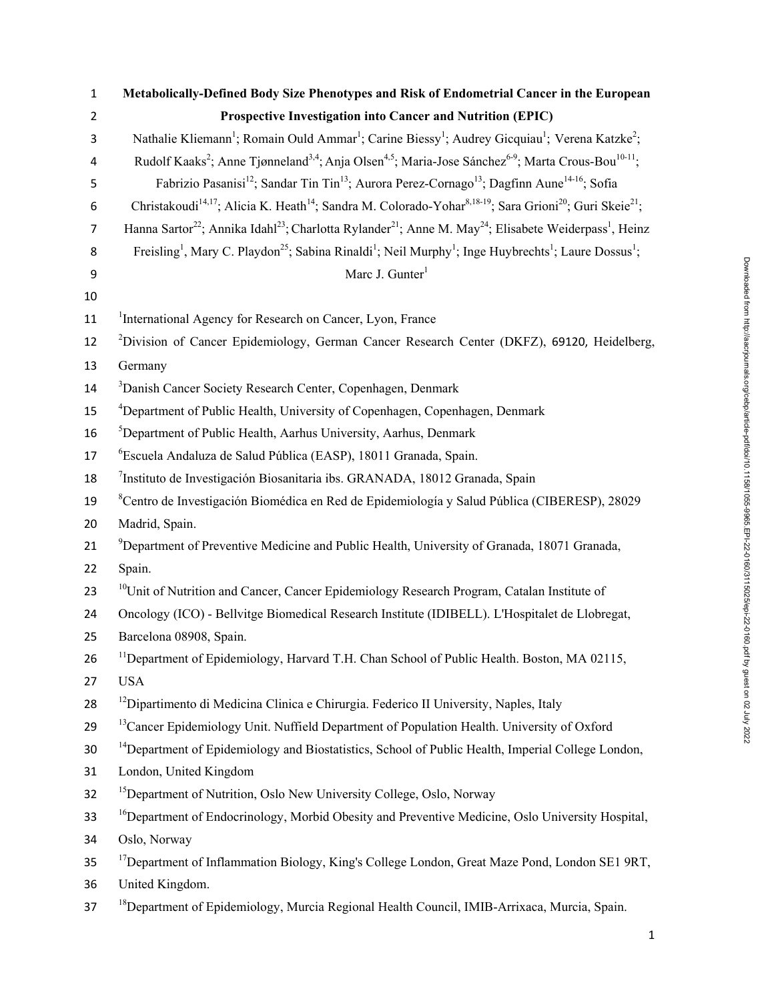| $\mathbf 1$    | Metabolically-Defined Body Size Phenotypes and Risk of Endometrial Cancer in the European                                                                                    |  |  |  |  |  |  |  |  |  |
|----------------|------------------------------------------------------------------------------------------------------------------------------------------------------------------------------|--|--|--|--|--|--|--|--|--|
| $\overline{2}$ | Prospective Investigation into Cancer and Nutrition (EPIC)                                                                                                                   |  |  |  |  |  |  |  |  |  |
| 3              | Nathalie Kliemann <sup>1</sup> ; Romain Ould Ammar <sup>1</sup> ; Carine Biessy <sup>1</sup> ; Audrey Gicquiau <sup>1</sup> ; Verena Katzke <sup>2</sup> ;                   |  |  |  |  |  |  |  |  |  |
| 4              | Rudolf Kaaks <sup>2</sup> ; Anne Tjønneland <sup>3,4</sup> ; Anja Olsen <sup>4,5</sup> ; Maria-Jose Sánchez <sup>6-9</sup> ; Marta Crous-Bou <sup>10-11</sup> ;              |  |  |  |  |  |  |  |  |  |
| 5              | Fabrizio Pasanisi <sup>12</sup> ; Sandar Tin Tin <sup>13</sup> ; Aurora Perez-Cornago <sup>13</sup> ; Dagfinn Aune <sup>14-16</sup> ; Sofia                                  |  |  |  |  |  |  |  |  |  |
| 6              | Christakoudi <sup>14,17</sup> ; Alicia K. Heath <sup>14</sup> ; Sandra M. Colorado-Yohar <sup>8,18-19</sup> ; Sara Grioni <sup>20</sup> ; Guri Skeie <sup>21</sup> ;         |  |  |  |  |  |  |  |  |  |
| $\overline{7}$ | Hanna Sartor <sup>22</sup> ; Annika Idahl <sup>23</sup> ; Charlotta Rylander <sup>21</sup> ; Anne M. May <sup>24</sup> ; Elisabete Weiderpass <sup>1</sup> , Heinz           |  |  |  |  |  |  |  |  |  |
| 8              | Freisling <sup>1</sup> , Mary C. Playdon <sup>25</sup> ; Sabina Rinaldi <sup>1</sup> ; Neil Murphy <sup>1</sup> ; Inge Huybrechts <sup>1</sup> ; Laure Dossus <sup>1</sup> ; |  |  |  |  |  |  |  |  |  |
| 9              | Marc J. Gunter <sup>1</sup>                                                                                                                                                  |  |  |  |  |  |  |  |  |  |
| 10             |                                                                                                                                                                              |  |  |  |  |  |  |  |  |  |
| 11             | <sup>1</sup> International Agency for Research on Cancer, Lyon, France                                                                                                       |  |  |  |  |  |  |  |  |  |
| 12             | <sup>2</sup> Division of Cancer Epidemiology, German Cancer Research Center (DKFZ), 69120, Heidelberg,                                                                       |  |  |  |  |  |  |  |  |  |
| 13             | Germany                                                                                                                                                                      |  |  |  |  |  |  |  |  |  |
| 14             | <sup>3</sup> Danish Cancer Society Research Center, Copenhagen, Denmark                                                                                                      |  |  |  |  |  |  |  |  |  |
| 15             | <sup>4</sup> Department of Public Health, University of Copenhagen, Copenhagen, Denmark                                                                                      |  |  |  |  |  |  |  |  |  |
| 16             | <sup>5</sup> Department of Public Health, Aarhus University, Aarhus, Denmark                                                                                                 |  |  |  |  |  |  |  |  |  |
| 17             | <sup>6</sup> Escuela Andaluza de Salud Pública (EASP), 18011 Granada, Spain.                                                                                                 |  |  |  |  |  |  |  |  |  |
| 18             | <sup>7</sup> Instituto de Investigación Biosanitaria ibs. GRANADA, 18012 Granada, Spain                                                                                      |  |  |  |  |  |  |  |  |  |
| 19             | <sup>8</sup> Centro de Investigación Biomédica en Red de Epidemiología y Salud Pública (CIBERESP), 28029                                                                     |  |  |  |  |  |  |  |  |  |
| 20             | Madrid, Spain.                                                                                                                                                               |  |  |  |  |  |  |  |  |  |
| 21             | <sup>9</sup> Department of Preventive Medicine and Public Health, University of Granada, 18071 Granada,                                                                      |  |  |  |  |  |  |  |  |  |
| 22             | Spain.                                                                                                                                                                       |  |  |  |  |  |  |  |  |  |
| 23             | <sup>10</sup> Unit of Nutrition and Cancer, Cancer Epidemiology Research Program, Catalan Institute of                                                                       |  |  |  |  |  |  |  |  |  |
| 24             | Oncology (ICO) - Bellvitge Biomedical Research Institute (IDIBELL). L'Hospitalet de Llobregat,                                                                               |  |  |  |  |  |  |  |  |  |
| 25             | Barcelona 08908, Spain.                                                                                                                                                      |  |  |  |  |  |  |  |  |  |
| 26             | <sup>11</sup> Department of Epidemiology, Harvard T.H. Chan School of Public Health. Boston, MA 02115,                                                                       |  |  |  |  |  |  |  |  |  |
| 27             | <b>USA</b>                                                                                                                                                                   |  |  |  |  |  |  |  |  |  |
| 28             | <sup>12</sup> Dipartimento di Medicina Clinica e Chirurgia. Federico II University, Naples, Italy                                                                            |  |  |  |  |  |  |  |  |  |
| 29             | <sup>13</sup> Cancer Epidemiology Unit. Nuffield Department of Population Health. University of Oxford                                                                       |  |  |  |  |  |  |  |  |  |
| 30             | <sup>14</sup> Department of Epidemiology and Biostatistics, School of Public Health, Imperial College London,                                                                |  |  |  |  |  |  |  |  |  |
| 31             | London, United Kingdom                                                                                                                                                       |  |  |  |  |  |  |  |  |  |
| 32             | <sup>15</sup> Department of Nutrition, Oslo New University College, Oslo, Norway                                                                                             |  |  |  |  |  |  |  |  |  |
| 33             | <sup>16</sup> Department of Endocrinology, Morbid Obesity and Preventive Medicine, Oslo University Hospital,                                                                 |  |  |  |  |  |  |  |  |  |
| 34             | Oslo, Norway                                                                                                                                                                 |  |  |  |  |  |  |  |  |  |
| 35             | <sup>17</sup> Department of Inflammation Biology, King's College London, Great Maze Pond, London SE1 9RT,                                                                    |  |  |  |  |  |  |  |  |  |
| 36             | United Kingdom.                                                                                                                                                              |  |  |  |  |  |  |  |  |  |
| 37             | <sup>18</sup> Department of Epidemiology, Murcia Regional Health Council, IMIB-Arrixaca, Murcia, Spain.                                                                      |  |  |  |  |  |  |  |  |  |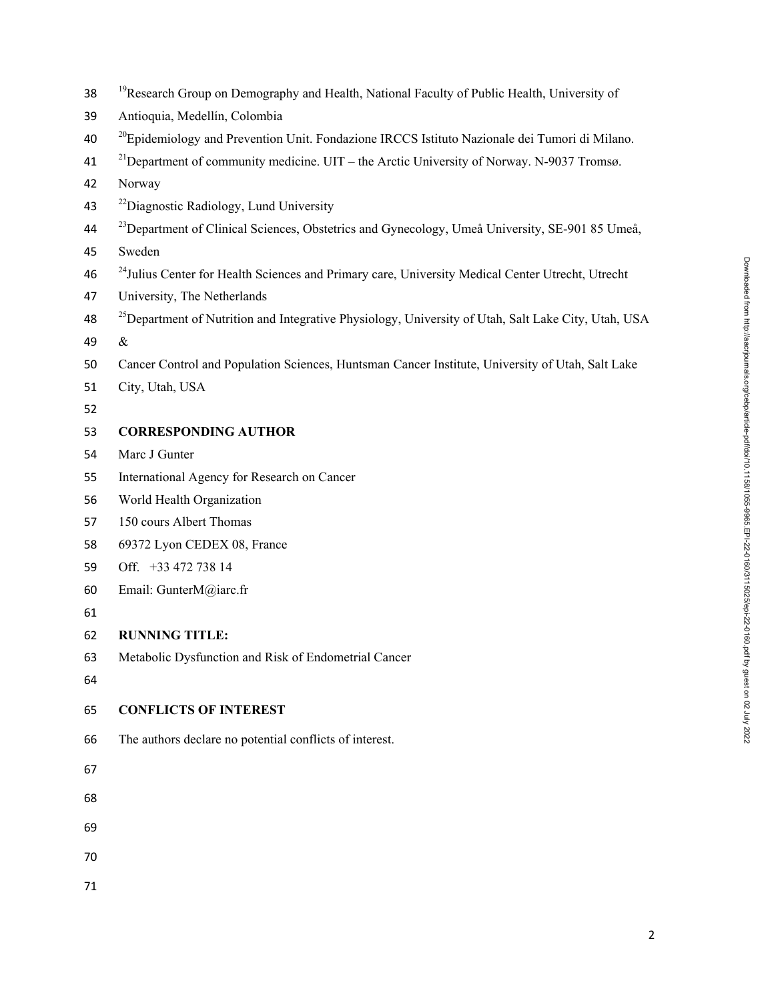- <sup>19</sup> Research Group on Demography and Health, National Faculty of Public Health, University of
- Antioquia, Medellín, Colombia
- <sup>20</sup> Epidemiology and Prevention Unit. Fondazione IRCCS Istituto Nazionale dei Tumori di Milano.
- <sup>21</sup> Department of community medicine. UIT the Arctic University of Norway. N-9037 Tromsø.
- Norway
- 43 <sup>22</sup>Diagnostic Radiology, Lund University
- <sup>23</sup> Department of Clinical Sciences, Obstetrics and Gynecology, Umeå University, SE-901 85 Umeå,
- Sweden
- <sup>24</sup> Julius Center for Health Sciences and Primary care, University Medical Center Utrecht, Utrecht
- University, The Netherlands
- <sup>25</sup> Department of Nutrition and Integrative Physiology, University of Utah, Salt Lake City, Utah, USA
- &
- Cancer Control and Population Sciences, Huntsman Cancer Institute, University of Utah, Salt Lake
- City, Utah, USA
- 

# **CORRESPONDING AUTHOR**

- Marc J Gunter
- International Agency for Research on Cancer
- World Health Organization
- 150 cours Albert Thomas
- 69372 Lyon CEDEX 08, France
- Off. +33 472 738 14
- Email: GunterM@iarc.fr

# **RUNNING TITLE:**

- Metabolic Dysfunction and Risk of Endometrial Cancer
- 

# **CONFLICTS OF INTEREST**

The authors declare no potential conflicts of interest.

- 
- 
- 
-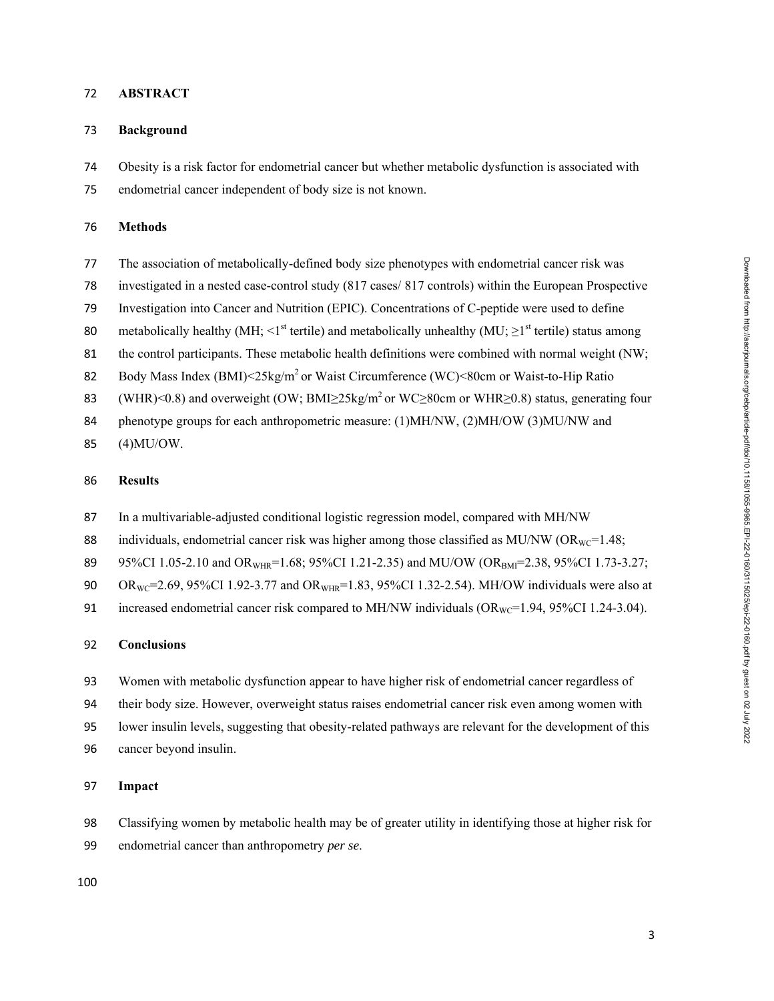## **ABSTRACT**

#### **Background**

Obesity is a risk factor for endometrial cancer but whether metabolic dysfunction is associated with endometrial cancer independent of body size is not known.

### **Methods**

- The association of metabolically-defined body size phenotypes with endometrial cancer risk was
- investigated in a nested case-control study (817 cases/ 817 controls) within the European Prospective
- Investigation into Cancer and Nutrition (EPIC). Concentrations of C-peptide were used to define
- 80 metabolically healthy (MH;  $\lt 1^{\text{st}}$  tertile) and metabolically unhealthy (MU;  $\geq 1^{\text{st}}$  tertile) status among
- 81 the control participants. These metabolic health definitions were combined with normal weight (NW;
- 82 Body Mass Index  $(BMI) \leq 25kg/m^2$  or Waist Circumference (WC) $\leq 80cm$  or Waist-to-Hip Ratio
- 83 (WHR)<0.8) and overweight (OW; BMI≥25kg/m<sup>2</sup> or WC≥80cm or WHR≥0.8) status, generating four
- phenotype groups for each anthropometric measure: (1)MH/NW, (2)MH/OW (3)MU/NW and
- (4)MU/OW.

#### **Results**

- In a multivariable-adjusted conditional logistic regression model, compared with MH/NW
- 88 individuals, endometrial cancer risk was higher among those classified as MU/NW ( $OR_{WC}$ =1.48;
- 89 95%CI 1.05-2.10 and OR<sub>WHR</sub>=1.68; 95%CI 1.21-2.35) and MU/OW (OR<sub>BMI</sub>=2.38, 95%CI 1.73-3.27;
- 90 OR<sub>WC</sub>=2.69, 95%CI 1.92-3.77 and OR<sub>WHR</sub>=1.83, 95%CI 1.32-2.54). MH/OW individuals were also at
- 91 increased endometrial cancer risk compared to MH/NW individuals  $(OR_{WC} = 1.94, 95\% \text{CI } 1.24-3.04)$ .

### **Conclusions**

Women with metabolic dysfunction appear to have higher risk of endometrial cancer regardless of their body size. However, overweight status raises endometrial cancer risk even among women with lower insulin levels, suggesting that obesity-related pathways are relevant for the development of this cancer beyond insulin.

# **Impact**

Classifying women by metabolic health may be of greater utility in identifying those at higher risk for endometrial cancer than anthropometry *per se*.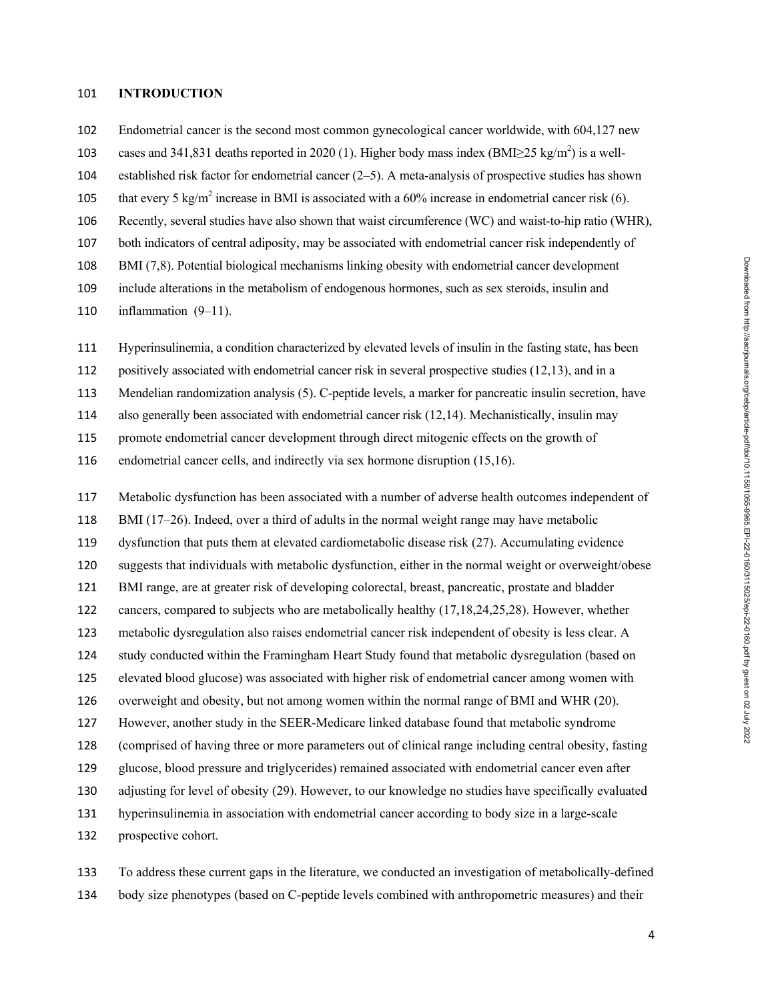#### **INTRODUCTION**

Endometrial cancer is the second most common gynecological cancer worldwide, with 604,127 new

103 cases and 341,831 deaths reported in 2020 (1). Higher body mass index (BMI≥25 kg/m<sup>2</sup>) is a well-

established risk factor for endometrial cancer (2–5). A meta-analysis of prospective studies has shown

105 that every 5 kg/m<sup>2</sup> increase in BMI is associated with a 60% increase in endometrial cancer risk (6).

Recently, several studies have also shown that waist circumference (WC) and waist-to-hip ratio (WHR),

both indicators of central adiposity, may be associated with endometrial cancer risk independently of

BMI (7,8). Potential biological mechanisms linking obesity with endometrial cancer development

include alterations in the metabolism of endogenous hormones, such as sex steroids, insulin and

inflammation (9–11).

Hyperinsulinemia, a condition characterized by elevated levels of insulin in the fasting state, has been

positively associated with endometrial cancer risk in several prospective studies (12,13), and in a

Mendelian randomization analysis (5). C-peptide levels, a marker for pancreatic insulin secretion, have

also generally been associated with endometrial cancer risk (12,14). Mechanistically, insulin may

promote endometrial cancer development through direct mitogenic effects on the growth of

endometrial cancer cells, and indirectly via sex hormone disruption (15,16).

Metabolic dysfunction has been associated with a number of adverse health outcomes independent of BMI (17–26). Indeed, over a third of adults in the normal weight range may have metabolic dysfunction that puts them at elevated cardiometabolic disease risk (27). Accumulating evidence suggests that individuals with metabolic dysfunction, either in the normal weight or overweight/obese BMI range, are at greater risk of developing colorectal, breast, pancreatic, prostate and bladder cancers, compared to subjects who are metabolically healthy (17,18,24,25,28). However, whether metabolic dysregulation also raises endometrial cancer risk independent of obesity is less clear. A study conducted within the Framingham Heart Study found that metabolic dysregulation (based on elevated blood glucose) was associated with higher risk of endometrial cancer among women with overweight and obesity, but not among women within the normal range of BMI and WHR (20). However, another study in the SEER-Medicare linked database found that metabolic syndrome (comprised of having three or more parameters out of clinical range including central obesity, fasting glucose, blood pressure and triglycerides) remained associated with endometrial cancer even after adjusting for level of obesity (29). However, to our knowledge no studies have specifically evaluated hyperinsulinemia in association with endometrial cancer according to body size in a large-scale prospective cohort.

To address these current gaps in the literature, we conducted an investigation of metabolically-defined body size phenotypes (based on C-peptide levels combined with anthropometric measures) and their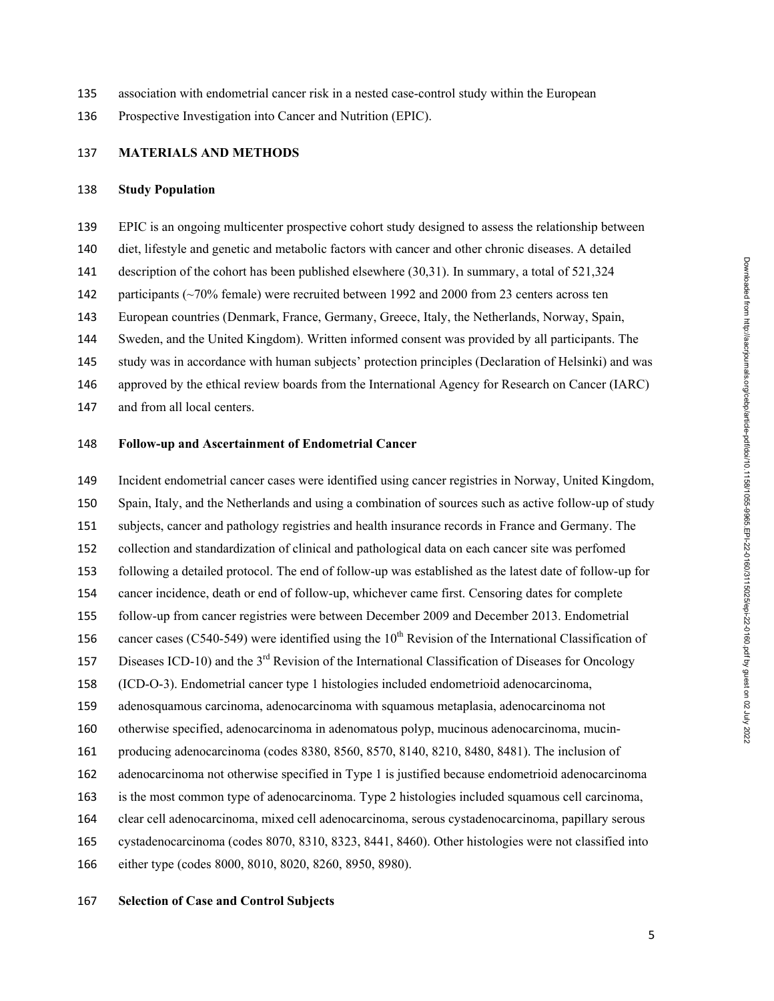Prospective Investigation into Cancer and Nutrition (EPIC).

## **MATERIALS AND METHODS**

#### **Study Population**

- EPIC is an ongoing multicenter prospective cohort study designed to assess the relationship between
- diet, lifestyle and genetic and metabolic factors with cancer and other chronic diseases. A detailed
- description of the cohort has been published elsewhere (30,31). In summary, a total of 521,324
- 142 participants (~70% female) were recruited between 1992 and 2000 from 23 centers across ten
- European countries (Denmark, France, Germany, Greece, Italy, the Netherlands, Norway, Spain,
- Sweden, and the United Kingdom). Written informed consent was provided by all participants. The
- study was in accordance with human subjects' protection principles (Declaration of Helsinki) and was
- approved by the ethical review boards from the International Agency for Research on Cancer (IARC)
- and from all local centers.

#### **Follow-up and Ascertainment of Endometrial Cancer**

Incident endometrial cancer cases were identified using cancer registries in Norway, United Kingdom, Spain, Italy, and the Netherlands and using a combination of sources such as active follow-up of study subjects, cancer and pathology registries and health insurance records in France and Germany. The collection and standardization of clinical and pathological data on each cancer site was perfomed following a detailed protocol. The end of follow-up was established as the latest date of follow-up for cancer incidence, death or end of follow-up, whichever came first. Censoring dates for complete follow-up from cancer registries were between December 2009 and December 2013. Endometrial 156 cancer cases (C540-549) were identified using the  $10^{th}$  Revision of the International Classification of 157 Diseases ICD-10) and the 3<sup>rd</sup> Revision of the International Classification of Diseases for Oncology (ICD-O-3). Endometrial cancer type 1 histologies included endometrioid adenocarcinoma, adenosquamous carcinoma, adenocarcinoma with squamous metaplasia, adenocarcinoma not otherwise specified, adenocarcinoma in adenomatous polyp, mucinous adenocarcinoma, mucin-producing adenocarcinoma (codes 8380, 8560, 8570, 8140, 8210, 8480, 8481). The inclusion of adenocarcinoma not otherwise specified in Type 1 is justified because endometrioid adenocarcinoma is the most common type of adenocarcinoma. Type 2 histologies included squamous cell carcinoma, clear cell adenocarcinoma, mixed cell adenocarcinoma, serous cystadenocarcinoma, papillary serous cystadenocarcinoma (codes 8070, 8310, 8323, 8441, 8460). Other histologies were not classified into either type (codes 8000, 8010, 8020, 8260, 8950, 8980).

#### **Selection of Case and Control Subjects**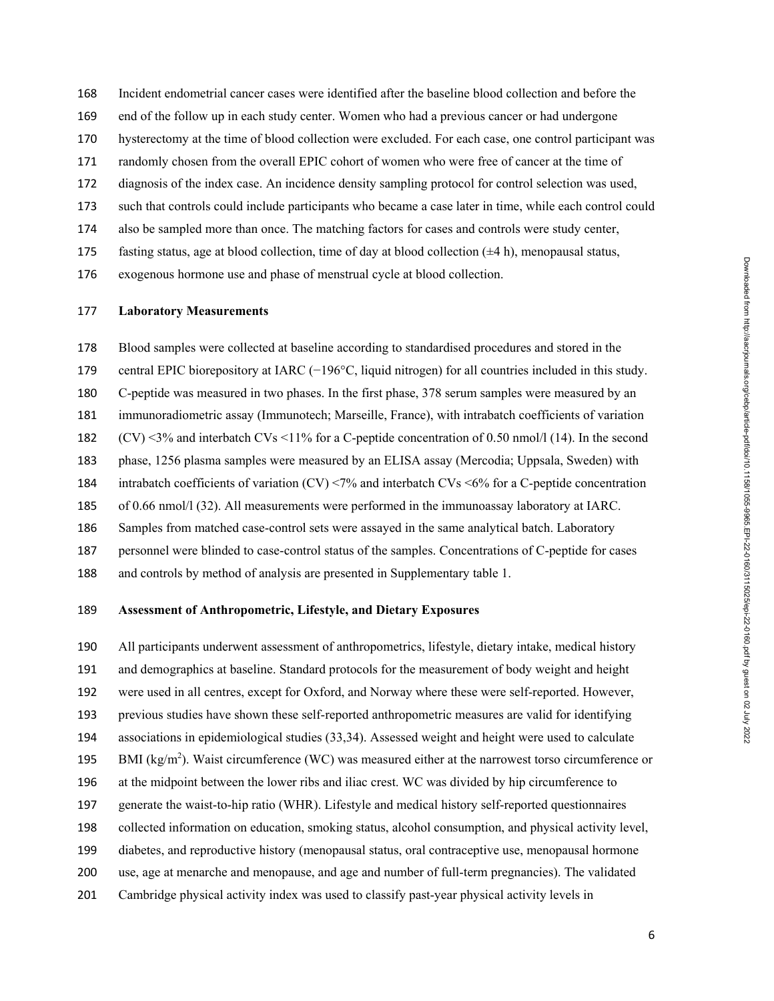- end of the follow up in each study center. Women who had a previous cancer or had undergone
- hysterectomy at the time of blood collection were excluded. For each case, one control participant was
- randomly chosen from the overall EPIC cohort of women who were free of cancer at the time of
- diagnosis of the index case. An incidence density sampling protocol for control selection was used,
- such that controls could include participants who became a case later in time, while each control could
- also be sampled more than once. The matching factors for cases and controls were study center,
- 175 fasting status, age at blood collection, time of day at blood collection  $(\pm 4 h)$ , menopausal status,
- exogenous hormone use and phase of menstrual cycle at blood collection.

#### **Laboratory Measurements**

- Blood samples were collected at baseline according to standardised procedures and stored in the
- central EPIC biorepository at IARC (−196°C, liquid nitrogen) for all countries included in this study.
- C-peptide was measured in two phases. In the first phase, 378 serum samples were measured by an
- immunoradiometric assay (Immunotech; Marseille, France), with intrabatch coefficients of variation
- (CV) <3% and interbatch CVs <11% for a C-peptide concentration of 0.50 nmol/l (14). In the second
- phase, 1256 plasma samples were measured by an ELISA assay (Mercodia; Uppsala, Sweden) with
- intrabatch coefficients of variation (CV) <7% and interbatch CVs <6% for a C-peptide concentration
- of 0.66 nmol/l (32). All measurements were performed in the immunoassay laboratory at IARC.
- Samples from matched case-control sets were assayed in the same analytical batch. Laboratory
- personnel were blinded to case-control status of the samples. Concentrations of C-peptide for cases
- and controls by method of analysis are presented in Supplementary table 1.

#### **Assessment of Anthropometric, Lifestyle, and Dietary Exposures**

All participants underwent assessment of anthropometrics, lifestyle, dietary intake, medical history and demographics at baseline. Standard protocols for the measurement of body weight and height were used in all centres, except for Oxford, and Norway where these were self-reported. However, previous studies have shown these self-reported anthropometric measures are valid for identifying associations in epidemiological studies (33,34). Assessed weight and height were used to calculate 195 BMI (kg/m<sup>2</sup>). Waist circumference (WC) was measured either at the narrowest torso circumference or at the midpoint between the lower ribs and iliac crest. WC was divided by hip circumference to generate the waist-to-hip ratio (WHR). Lifestyle and medical history self-reported questionnaires collected information on education, smoking status, alcohol consumption, and physical activity level, diabetes, and reproductive history (menopausal status, oral contraceptive use, menopausal hormone use, age at menarche and menopause, and age and number of full-term pregnancies). The validated Cambridge physical activity index was used to classify past-year physical activity levels in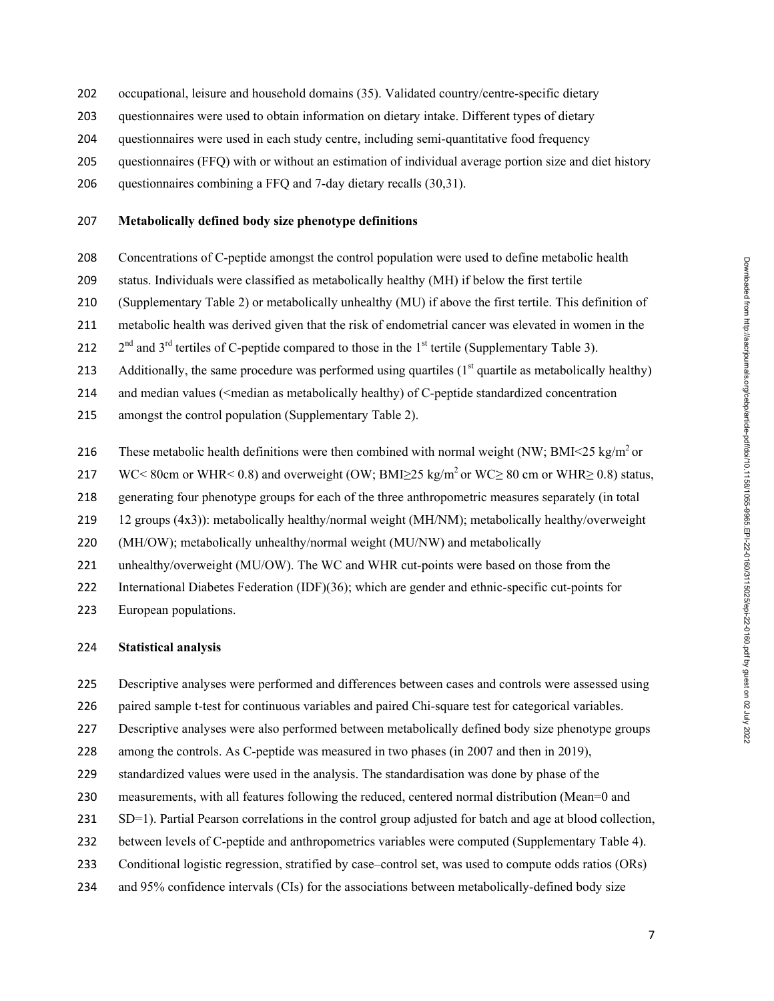- occupational, leisure and household domains (35). Validated country/centre-specific dietary
- questionnaires were used to obtain information on dietary intake. Different types of dietary
- questionnaires were used in each study centre, including semi-quantitative food frequency
- questionnaires (FFQ) with or without an estimation of individual average portion size and diet history
- questionnaires combining a FFQ and 7-day dietary recalls (30,31).

#### **Metabolically defined body size phenotype definitions**

- Concentrations of C-peptide amongst the control population were used to define metabolic health
- status. Individuals were classified as metabolically healthy (MH) if below the first tertile
- (Supplementary Table 2) or metabolically unhealthy (MU) if above the first tertile. This definition of
- metabolic health was derived given that the risk of endometrial cancer was elevated in women in the
- 212  $2^{nd}$  and  $3^{rd}$  tertiles of C-peptide compared to those in the 1<sup>st</sup> tertile (Supplementary Table 3).
- 213 Additionally, the same procedure was performed using quartiles  $(1<sup>st</sup>$  quartile as metabolically healthy)
- 214 and median values (<median as metabolically healthy) of C-peptide standardized concentration
- amongst the control population (Supplementary Table 2).
- 216 These metabolic health definitions were then combined with normal weight (NW; BMI<25 kg/m<sup>2</sup> or
- 217 WC< 80cm or WHR< 0.8) and overweight (OW; BMI $\geq$ 25 kg/m<sup>2</sup> or WC $\geq$  80 cm or WHR $\geq$  0.8) status,
- generating four phenotype groups for each of the three anthropometric measures separately (in total
- 12 groups (4x3)): metabolically healthy/normal weight (MH/NM); metabolically healthy/overweight
- (MH/OW); metabolically unhealthy/normal weight (MU/NW) and metabolically
- 221 unhealthy/overweight (MU/OW). The WC and WHR cut-points were based on those from the
- International Diabetes Federation (IDF)(36); which are gender and ethnic-specific cut-points for
- European populations.

# **Statistical analysis**

- Descriptive analyses were performed and differences between cases and controls were assessed using
- paired sample t-test for continuous variables and paired Chi-square test for categorical variables.
- Descriptive analyses were also performed between metabolically defined body size phenotype groups
- among the controls. As C-peptide was measured in two phases (in 2007 and then in 2019),
- standardized values were used in the analysis. The standardisation was done by phase of the
- measurements, with all features following the reduced, centered normal distribution (Mean=0 and
- SD=1). Partial Pearson correlations in the control group adjusted for batch and age at blood collection,
- between levels of C-peptide and anthropometrics variables were computed (Supplementary Table 4).
- Conditional logistic regression, stratified by case–control set, was used to compute odds ratios (ORs)
- and 95% confidence intervals (CIs) for the associations between metabolically-defined body size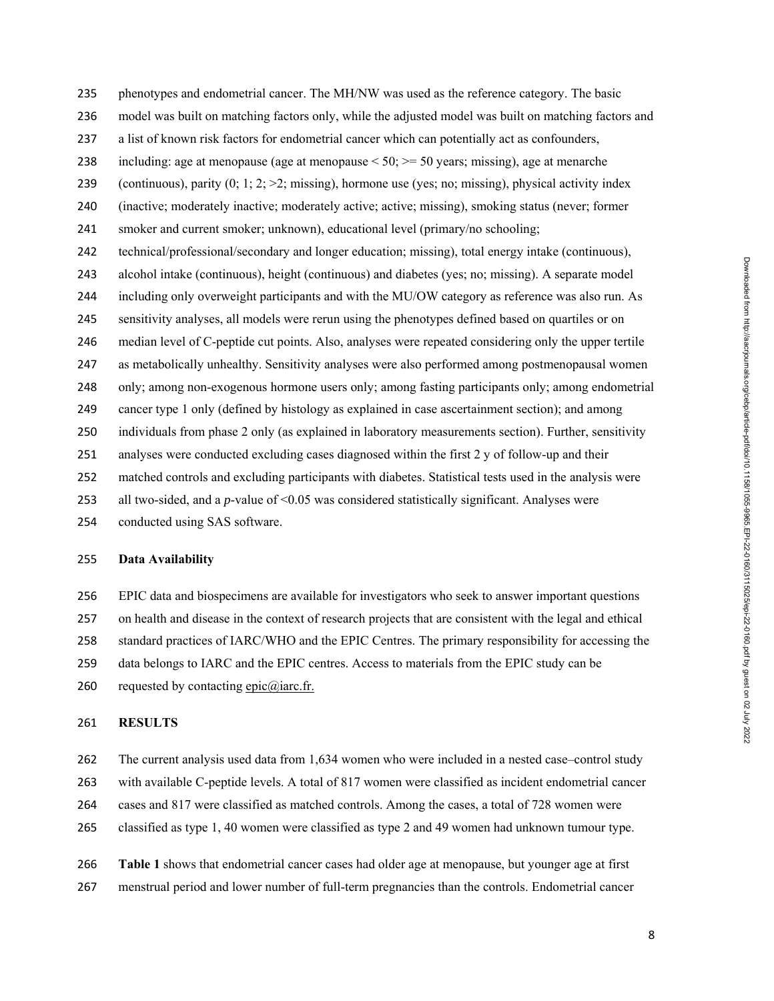- phenotypes and endometrial cancer. The MH/NW was used as the reference category. The basic
- model was built on matching factors only, while the adjusted model was built on matching factors and
- a list of known risk factors for endometrial cancer which can potentially act as confounders,
- including: age at menopause (age at menopause < 50; >= 50 years; missing), age at menarche
- 239 (continuous), parity  $(0; 1; 2; 2;$  missing), hormone use (yes; no; missing), physical activity index
- (inactive; moderately inactive; moderately active; active; missing), smoking status (never; former
- smoker and current smoker; unknown), educational level (primary/no schooling;
- technical/professional/secondary and longer education; missing), total energy intake (continuous),
- alcohol intake (continuous), height (continuous) and diabetes (yes; no; missing). A separate model
- including only overweight participants and with the MU/OW category as reference was also run. As
- sensitivity analyses, all models were rerun using the phenotypes defined based on quartiles or on
- median level of C-peptide cut points. Also, analyses were repeated considering only the upper tertile
- as metabolically unhealthy. Sensitivity analyses were also performed among postmenopausal women
- only; among non-exogenous hormone users only; among fasting participants only; among endometrial
- cancer type 1 only (defined by histology as explained in case ascertainment section); and among
- individuals from phase 2 only (as explained in laboratory measurements section). Further, sensitivity
- analyses were conducted excluding cases diagnosed within the first 2 y of follow-up and their
- matched controls and excluding participants with diabetes. Statistical tests used in the analysis were
- 253 all two-sided, and a *p*-value of <0.05 was considered statistically significant. Analyses were
- conducted using SAS software.

#### **Data Availability**

EPIC data and biospecimens are available for investigators who seek to answer important questions

- on health and disease in the context of research projects that are consistent with the legal and ethical standard practices of IARC/WHO and the EPIC Centres. The primary responsibility for accessing the
- 
- 259 data belongs to IARC and the EPIC centres. Access to materials from the EPIC study can be
- 260 requested by contacting  $epic(\hat{a})$  arc.fr.

## **RESULTS**

The current analysis used data from 1,634 women who were included in a nested case–control study with available C-peptide levels. A total of 817 women were classified as incident endometrial cancer cases and 817 were classified as matched controls. Among the cases, a total of 728 women were classified as type 1, 40 women were classified as type 2 and 49 women had unknown tumour type.

**Table 1** shows that endometrial cancer cases had older age at menopause, but younger age at first menstrual period and lower number of full-term pregnancies than the controls. Endometrial cancer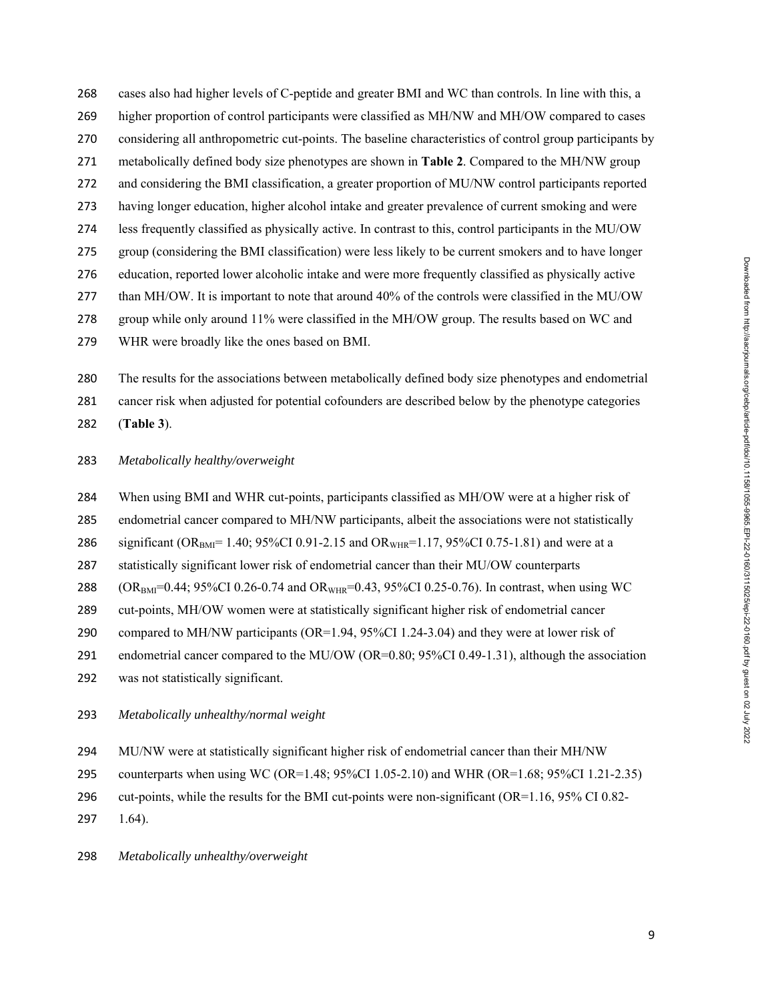cases also had higher levels of C-peptide and greater BMI and WC than controls. In line with this, a higher proportion of control participants were classified as MH/NW and MH/OW compared to cases considering all anthropometric cut-points. The baseline characteristics of control group participants by metabolically defined body size phenotypes are shown in **Table 2**. Compared to the MH/NW group and considering the BMI classification, a greater proportion of MU/NW control participants reported having longer education, higher alcohol intake and greater prevalence of current smoking and were less frequently classified as physically active. In contrast to this, control participants in the MU/OW group (considering the BMI classification) were less likely to be current smokers and to have longer education, reported lower alcoholic intake and were more frequently classified as physically active than MH/OW. It is important to note that around 40% of the controls were classified in the MU/OW group while only around 11% were classified in the MH/OW group. The results based on WC and WHR were broadly like the ones based on BMI.

The results for the associations between metabolically defined body size phenotypes and endometrial cancer risk when adjusted for potential cofounders are described below by the phenotype categories (**Table 3**).

# *Metabolically healthy/overweight*

- When using BMI and WHR cut-points, participants classified as MH/OW were at a higher risk of
- endometrial cancer compared to MH/NW participants, albeit the associations were not statistically

286 significant (OR<sub>BMI</sub>= 1.40; 95%CI 0.91-2.15 and OR<sub>WHR</sub>=1.17, 95%CI 0.75-1.81) and were at a

- statistically significant lower risk of endometrial cancer than their MU/OW counterparts
- 288 (OR<sub>BMI</sub>=0.44; 95%CI 0.26-0.74 and OR<sub>WHR</sub>=0.43, 95%CI 0.25-0.76). In contrast, when using WC
- cut-points, MH/OW women were at statistically significant higher risk of endometrial cancer
- compared to MH/NW participants (OR=1.94, 95%CI 1.24-3.04) and they were at lower risk of
- endometrial cancer compared to the MU/OW (OR=0.80; 95%CI 0.49-1.31), although the association
- was not statistically significant.
- *Metabolically unhealthy/normal weight*
- MU/NW were at statistically significant higher risk of endometrial cancer than their MH/NW
- counterparts when using WC (OR=1.48; 95%CI 1.05-2.10) and WHR (OR=1.68; 95%CI 1.21-2.35)
- cut-points, while the results for the BMI cut-points were non-significant (OR=1.16, 95% CI 0.82-

1.64).

*Metabolically unhealthy/overweight*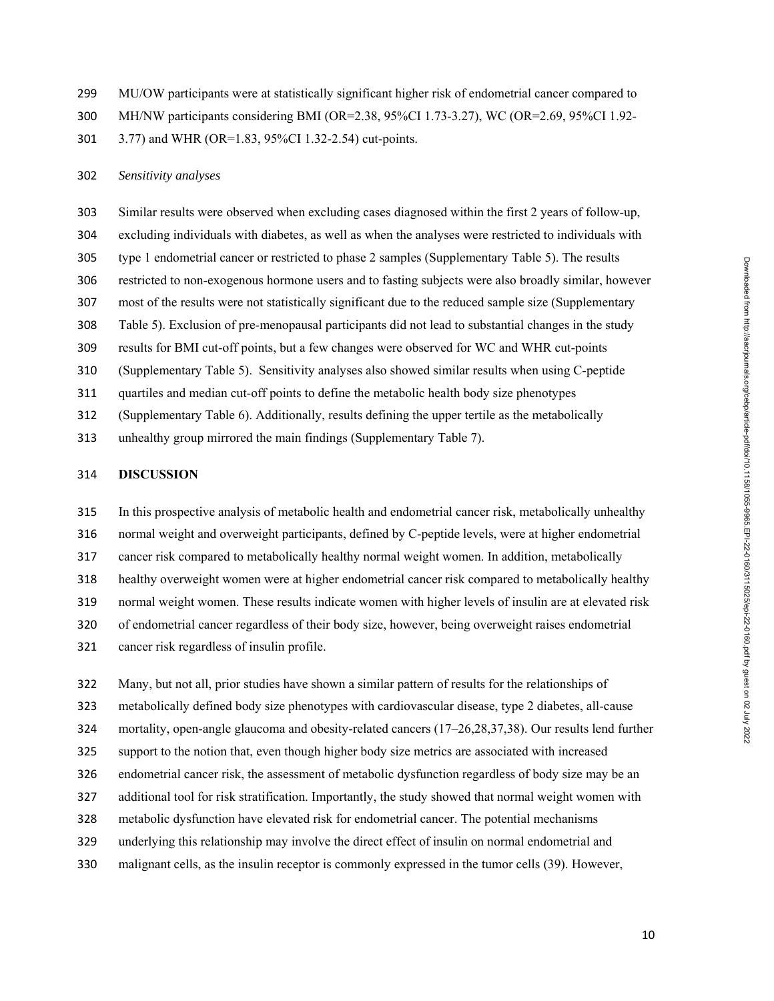MU/OW participants were at statistically significant higher risk of endometrial cancer compared to

MH/NW participants considering BMI (OR=2.38, 95%CI 1.73-3.27), WC (OR=2.69, 95%CI 1.92-

3.77) and WHR (OR=1.83, 95%CI 1.32-2.54) cut-points.

## *Sensitivity analyses*

Similar results were observed when excluding cases diagnosed within the first 2 years of follow-up, excluding individuals with diabetes, as well as when the analyses were restricted to individuals with type 1 endometrial cancer or restricted to phase 2 samples (Supplementary Table 5). The results restricted to non-exogenous hormone users and to fasting subjects were also broadly similar, however most of the results were not statistically significant due to the reduced sample size (Supplementary Table 5). Exclusion of pre-menopausal participants did not lead to substantial changes in the study results for BMI cut-off points, but a few changes were observed for WC and WHR cut-points (Supplementary Table 5). Sensitivity analyses also showed similar results when using C-peptide quartiles and median cut-off points to define the metabolic health body size phenotypes (Supplementary Table 6). Additionally, results defining the upper tertile as the metabolically

unhealthy group mirrored the main findings (Supplementary Table 7).

## **DISCUSSION**

In this prospective analysis of metabolic health and endometrial cancer risk, metabolically unhealthy normal weight and overweight participants, defined by C-peptide levels, were at higher endometrial cancer risk compared to metabolically healthy normal weight women. In addition, metabolically healthy overweight women were at higher endometrial cancer risk compared to metabolically healthy normal weight women. These results indicate women with higher levels of insulin are at elevated risk of endometrial cancer regardless of their body size, however, being overweight raises endometrial cancer risk regardless of insulin profile.

Many, but not all, prior studies have shown a similar pattern of results for the relationships of

metabolically defined body size phenotypes with cardiovascular disease, type 2 diabetes, all-cause

mortality, open-angle glaucoma and obesity-related cancers (17–26,28,37,38). Our results lend further

support to the notion that, even though higher body size metrics are associated with increased

- endometrial cancer risk, the assessment of metabolic dysfunction regardless of body size may be an
- additional tool for risk stratification. Importantly, the study showed that normal weight women with
- metabolic dysfunction have elevated risk for endometrial cancer. The potential mechanisms
- underlying this relationship may involve the direct effect of insulin on normal endometrial and
- malignant cells, as the insulin receptor is commonly expressed in the tumor cells (39). However,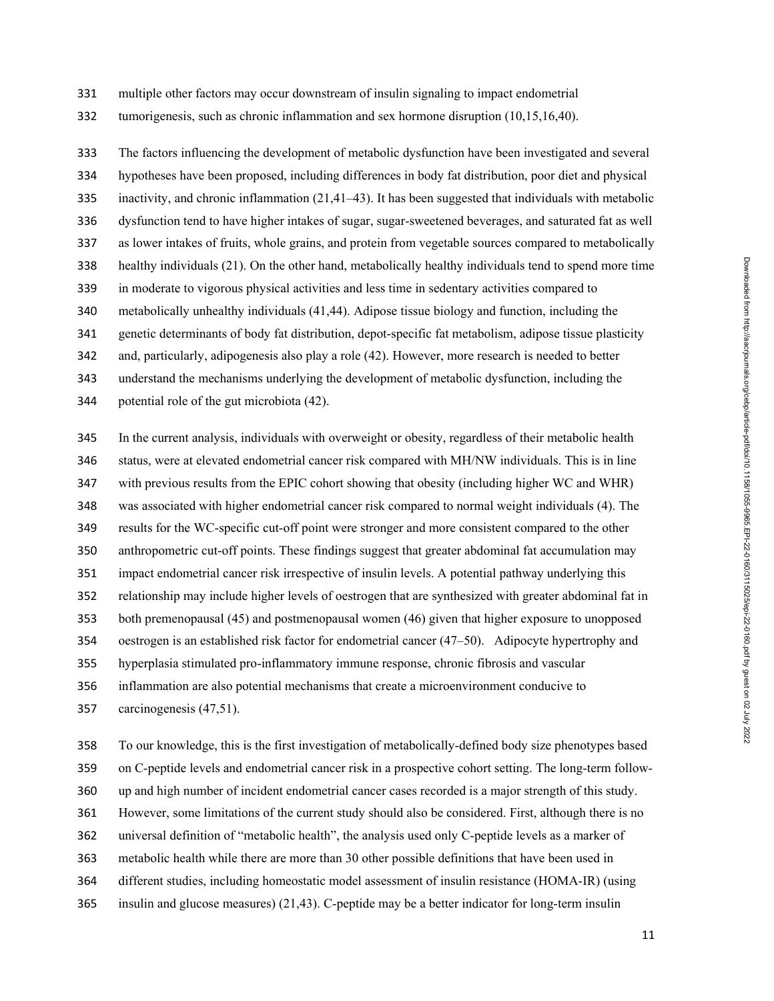- multiple other factors may occur downstream of insulin signaling to impact endometrial
- tumorigenesis, such as chronic inflammation and sex hormone disruption (10,15,16,40).

The factors influencing the development of metabolic dysfunction have been investigated and several hypotheses have been proposed, including differences in body fat distribution, poor diet and physical inactivity, and chronic inflammation (21,41–43). It has been suggested that individuals with metabolic dysfunction tend to have higher intakes of sugar, sugar-sweetened beverages, and saturated fat as well as lower intakes of fruits, whole grains, and protein from vegetable sources compared to metabolically healthy individuals (21). On the other hand, metabolically healthy individuals tend to spend more time in moderate to vigorous physical activities and less time in sedentary activities compared to metabolically unhealthy individuals (41,44). Adipose tissue biology and function, including the genetic determinants of body fat distribution, depot-specific fat metabolism, adipose tissue plasticity and, particularly, adipogenesis also play a role (42). However, more research is needed to better understand the mechanisms underlying the development of metabolic dysfunction, including the potential role of the gut microbiota (42). In the current analysis, individuals with overweight or obesity, regardless of their metabolic health status, were at elevated endometrial cancer risk compared with MH/NW individuals. This is in line with previous results from the EPIC cohort showing that obesity (including higher WC and WHR) was associated with higher endometrial cancer risk compared to normal weight individuals (4). The results for the WC-specific cut-off point were stronger and more consistent compared to the other anthropometric cut-off points. These findings suggest that greater abdominal fat accumulation may impact endometrial cancer risk irrespective of insulin levels. A potential pathway underlying this

- relationship may include higher levels of oestrogen that are synthesized with greater abdominal fat in both premenopausal (45) and postmenopausal women (46) given that higher exposure to unopposed
- oestrogen is an established risk factor for endometrial cancer (47–50). Adipocyte hypertrophy and
- hyperplasia stimulated pro-inflammatory immune response, chronic fibrosis and vascular
- inflammation are also potential mechanisms that create a microenvironment conducive to
- carcinogenesis (47,51).
- To our knowledge, this is the first investigation of metabolically-defined body size phenotypes based on C-peptide levels and endometrial cancer risk in a prospective cohort setting. The long-term follow-up and high number of incident endometrial cancer cases recorded is a major strength of this study. However, some limitations of the current study should also be considered. First, although there is no universal definition of "metabolic health", the analysis used only C-peptide levels as a marker of metabolic health while there are more than 30 other possible definitions that have been used in
- different studies, including homeostatic model assessment of insulin resistance (HOMA-IR) (using
- insulin and glucose measures) (21,43). C-peptide may be a better indicator for long-term insulin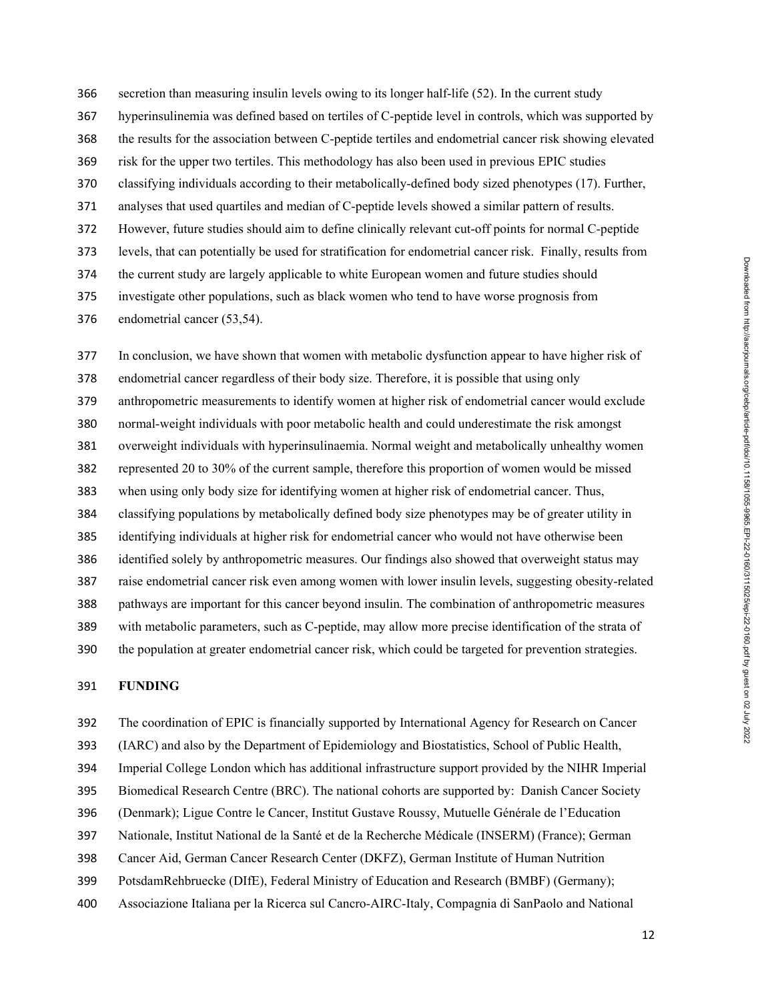- secretion than measuring insulin levels owing to its longer half-life (52). In the current study
- hyperinsulinemia was defined based on tertiles of C-peptide level in controls, which was supported by
- the results for the association between C-peptide tertiles and endometrial cancer risk showing elevated
- risk for the upper two tertiles. This methodology has also been used in previous EPIC studies
- classifying individuals according to their metabolically-defined body sized phenotypes (17). Further,
- analyses that used quartiles and median of C-peptide levels showed a similar pattern of results.
- However, future studies should aim to define clinically relevant cut-off points for normal C-peptide
- levels, that can potentially be used for stratification for endometrial cancer risk. Finally, results from
- the current study are largely applicable to white European women and future studies should
- investigate other populations, such as black women who tend to have worse prognosis from

endometrial cancer (53,54).

In conclusion, we have shown that women with metabolic dysfunction appear to have higher risk of endometrial cancer regardless of their body size. Therefore, it is possible that using only anthropometric measurements to identify women at higher risk of endometrial cancer would exclude normal-weight individuals with poor metabolic health and could underestimate the risk amongst overweight individuals with hyperinsulinaemia. Normal weight and metabolically unhealthy women represented 20 to 30% of the current sample, therefore this proportion of women would be missed when using only body size for identifying women at higher risk of endometrial cancer. Thus, classifying populations by metabolically defined body size phenotypes may be of greater utility in identifying individuals at higher risk for endometrial cancer who would not have otherwise been identified solely by anthropometric measures. Our findings also showed that overweight status may raise endometrial cancer risk even among women with lower insulin levels, suggesting obesity-related pathways are important for this cancer beyond insulin. The combination of anthropometric measures with metabolic parameters, such as C-peptide, may allow more precise identification of the strata of the population at greater endometrial cancer risk, which could be targeted for prevention strategies.

## **FUNDING**

- The coordination of EPIC is financially supported by International Agency for Research on Cancer
- (IARC) and also by the Department of Epidemiology and Biostatistics, School of Public Health,
- Imperial College London which has additional infrastructure support provided by the NIHR Imperial
- Biomedical Research Centre (BRC). The national cohorts are supported by: Danish Cancer Society
- (Denmark); Ligue Contre le Cancer, Institut Gustave Roussy, Mutuelle Générale de l'Education
- Nationale, Institut National de la Santé et de la Recherche Médicale (INSERM) (France); German
- Cancer Aid, German Cancer Research Center (DKFZ), German Institute of Human Nutrition
- PotsdamRehbruecke (DIfE), Federal Ministry of Education and Research (BMBF) (Germany);
- Associazione Italiana per la Ricerca sul Cancro-AIRC-Italy, Compagnia di SanPaolo and National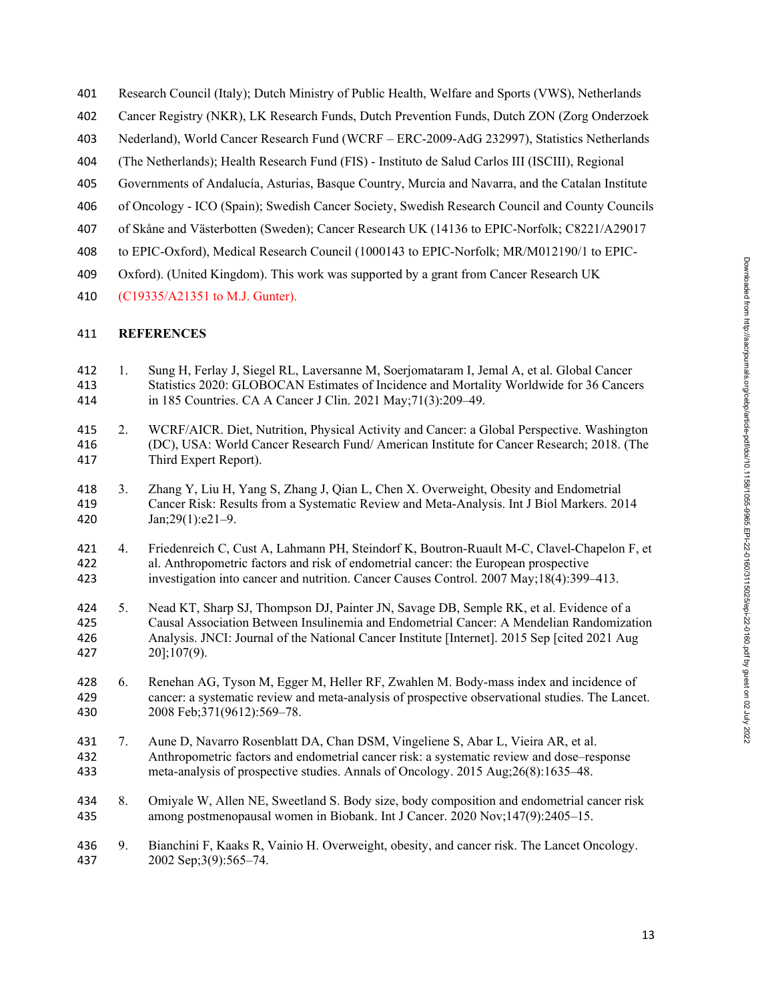- Research Council (Italy); Dutch Ministry of Public Health, Welfare and Sports (VWS), Netherlands
- Cancer Registry (NKR), LK Research Funds, Dutch Prevention Funds, Dutch ZON (Zorg Onderzoek
- Nederland), World Cancer Research Fund (WCRF ERC-2009-AdG 232997), Statistics Netherlands
- (The Netherlands); Health Research Fund (FIS) Instituto de Salud Carlos III (ISCIII), Regional
- Governments of Andalucía, Asturias, Basque Country, Murcia and Navarra, and the Catalan Institute
- of Oncology ICO (Spain); Swedish Cancer Society, Swedish Research Council and County Councils
- of Skåne and Västerbotten (Sweden); Cancer Research UK (14136 to EPIC-Norfolk; C8221/A29017
- to EPIC-Oxford), Medical Research Council (1000143 to EPIC-Norfolk; MR/M012190/1 to EPIC-
- Oxford). (United Kingdom). This work was supported by a grant from Cancer Research UK
- (C19335/A21351 to M.J. Gunter).

#### **REFERENCES**

- 1. Sung H, Ferlay J, Siegel RL, Laversanne M, Soerjomataram I, Jemal A, et al. Global Cancer Statistics 2020: GLOBOCAN Estimates of Incidence and Mortality Worldwide for 36 Cancers in 185 Countries. CA A Cancer J Clin. 2021 May;71(3):209–49.
- 2. WCRF/AICR. Diet, Nutrition, Physical Activity and Cancer: a Global Perspective. Washington (DC), USA: World Cancer Research Fund/ American Institute for Cancer Research; 2018. (The Third Expert Report).
- 3. Zhang Y, Liu H, Yang S, Zhang J, Qian L, Chen X. Overweight, Obesity and Endometrial Cancer Risk: Results from a Systematic Review and Meta-Analysis. Int J Biol Markers. 2014 Jan;29(1):e21–9.
- 4. Friedenreich C, Cust A, Lahmann PH, Steindorf K, Boutron-Ruault M-C, Clavel-Chapelon F, et al. Anthropometric factors and risk of endometrial cancer: the European prospective investigation into cancer and nutrition. Cancer Causes Control. 2007 May;18(4):399–413.
- 5. Nead KT, Sharp SJ, Thompson DJ, Painter JN, Savage DB, Semple RK, et al. Evidence of a Causal Association Between Insulinemia and Endometrial Cancer: A Mendelian Randomization Analysis. JNCI: Journal of the National Cancer Institute [Internet]. 2015 Sep [cited 2021 Aug 20];107(9).
- 6. Renehan AG, Tyson M, Egger M, Heller RF, Zwahlen M. Body-mass index and incidence of cancer: a systematic review and meta-analysis of prospective observational studies. The Lancet. 2008 Feb;371(9612):569–78.
- 7. Aune D, Navarro Rosenblatt DA, Chan DSM, Vingeliene S, Abar L, Vieira AR, et al. Anthropometric factors and endometrial cancer risk: a systematic review and dose–response meta-analysis of prospective studies. Annals of Oncology. 2015 Aug;26(8):1635–48.
- 8. Omiyale W, Allen NE, Sweetland S. Body size, body composition and endometrial cancer risk among postmenopausal women in Biobank. Int J Cancer. 2020 Nov;147(9):2405–15.
- 9. Bianchini F, Kaaks R, Vainio H. Overweight, obesity, and cancer risk. The Lancet Oncology. 2002 Sep;3(9):565–74.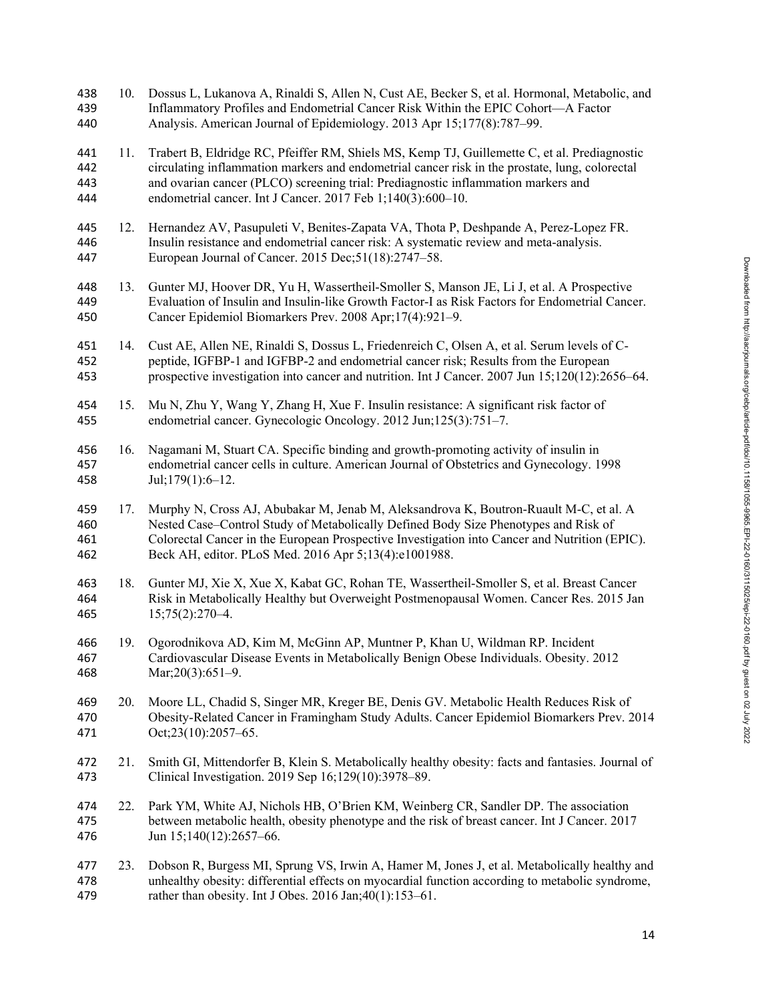| 438<br>439<br>440        | 10. | Dossus L, Lukanova A, Rinaldi S, Allen N, Cust AE, Becker S, et al. Hormonal, Metabolic, and<br>Inflammatory Profiles and Endometrial Cancer Risk Within the EPIC Cohort—A Factor<br>Analysis. American Journal of Epidemiology. 2013 Apr 15;177(8):787-99.                                                                                        |
|--------------------------|-----|----------------------------------------------------------------------------------------------------------------------------------------------------------------------------------------------------------------------------------------------------------------------------------------------------------------------------------------------------|
| 441<br>442<br>443<br>444 | 11. | Trabert B, Eldridge RC, Pfeiffer RM, Shiels MS, Kemp TJ, Guillemette C, et al. Prediagnostic<br>circulating inflammation markers and endometrial cancer risk in the prostate, lung, colorectal<br>and ovarian cancer (PLCO) screening trial: Prediagnostic inflammation markers and<br>endometrial cancer. Int J Cancer. 2017 Feb 1;140(3):600-10. |
| 445<br>446<br>447        | 12. | Hernandez AV, Pasupuleti V, Benites-Zapata VA, Thota P, Deshpande A, Perez-Lopez FR.<br>Insulin resistance and endometrial cancer risk: A systematic review and meta-analysis.<br>European Journal of Cancer. 2015 Dec; 51(18): 2747-58.                                                                                                           |
| 448<br>449<br>450        | 13. | Gunter MJ, Hoover DR, Yu H, Wassertheil-Smoller S, Manson JE, Li J, et al. A Prospective<br>Evaluation of Insulin and Insulin-like Growth Factor-I as Risk Factors for Endometrial Cancer.<br>Cancer Epidemiol Biomarkers Prev. 2008 Apr;17(4):921-9.                                                                                              |
| 451<br>452<br>453        | 14. | Cust AE, Allen NE, Rinaldi S, Dossus L, Friedenreich C, Olsen A, et al. Serum levels of C-<br>peptide, IGFBP-1 and IGFBP-2 and endometrial cancer risk; Results from the European<br>prospective investigation into cancer and nutrition. Int J Cancer. 2007 Jun 15;120(12):2656–64.                                                               |
| 454<br>455               | 15. | Mu N, Zhu Y, Wang Y, Zhang H, Xue F. Insulin resistance: A significant risk factor of<br>endometrial cancer. Gynecologic Oncology. 2012 Jun;125(3):751-7.                                                                                                                                                                                          |
| 456<br>457<br>458        | 16. | Nagamani M, Stuart CA. Specific binding and growth-promoting activity of insulin in<br>endometrial cancer cells in culture. American Journal of Obstetrics and Gynecology. 1998<br>$Jul; 179(1): 6-12.$                                                                                                                                            |
| 459<br>460<br>461<br>462 | 17. | Murphy N, Cross AJ, Abubakar M, Jenab M, Aleksandrova K, Boutron-Ruault M-C, et al. A<br>Nested Case-Control Study of Metabolically Defined Body Size Phenotypes and Risk of<br>Colorectal Cancer in the European Prospective Investigation into Cancer and Nutrition (EPIC).<br>Beck AH, editor. PLoS Med. 2016 Apr 5;13(4):e1001988.             |
| 463<br>464<br>465        | 18. | Gunter MJ, Xie X, Xue X, Kabat GC, Rohan TE, Wassertheil-Smoller S, et al. Breast Cancer<br>Risk in Metabolically Healthy but Overweight Postmenopausal Women. Cancer Res. 2015 Jan<br>$15;75(2):270-4.$                                                                                                                                           |
| 466<br>467<br>468        | 19. | Ogorodnikova AD, Kim M, McGinn AP, Muntner P, Khan U, Wildman RP. Incident<br>Cardiovascular Disease Events in Metabolically Benign Obese Individuals. Obesity. 2012<br>Mar; $20(3): 651-9$ .                                                                                                                                                      |
| 469<br>470<br>471        | 20. | Moore LL, Chadid S, Singer MR, Kreger BE, Denis GV. Metabolic Health Reduces Risk of<br>Obesity-Related Cancer in Framingham Study Adults. Cancer Epidemiol Biomarkers Prev. 2014<br>$Oct;23(10):2057-65.$                                                                                                                                         |
| 472<br>473               | 21. | Smith GI, Mittendorfer B, Klein S. Metabolically healthy obesity: facts and fantasies. Journal of<br>Clinical Investigation. 2019 Sep 16;129(10):3978-89.                                                                                                                                                                                          |
| 474<br>475<br>476        | 22. | Park YM, White AJ, Nichols HB, O'Brien KM, Weinberg CR, Sandler DP. The association<br>between metabolic health, obesity phenotype and the risk of breast cancer. Int J Cancer. 2017<br>Jun 15;140(12):2657-66.                                                                                                                                    |
| 477<br>478<br>479        | 23. | Dobson R, Burgess MI, Sprung VS, Irwin A, Hamer M, Jones J, et al. Metabolically healthy and<br>unhealthy obesity: differential effects on myocardial function according to metabolic syndrome,<br>rather than obesity. Int J Obes. 2016 Jan; 40(1):153-61.                                                                                        |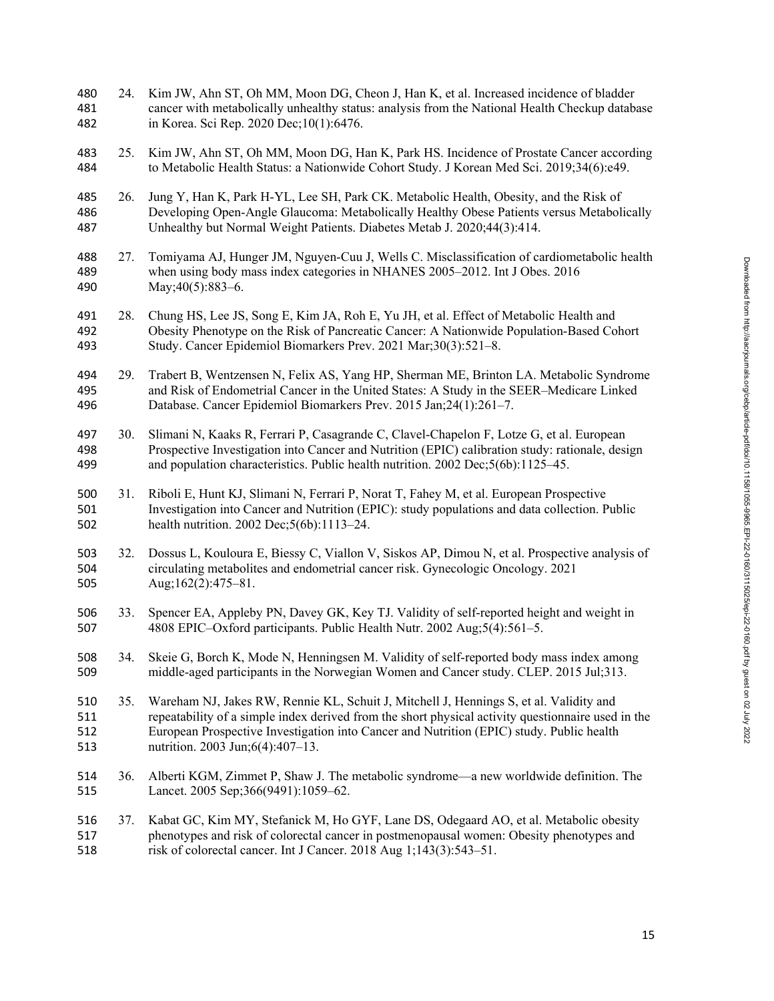24. Kim JW, Ahn ST, Oh MM, Moon DG, Cheon J, Han K, et al. Increased incidence of bladder cancer with metabolically unhealthy status: analysis from the National Health Checkup database in Korea. Sci Rep. 2020 Dec;10(1):6476. 25. Kim JW, Ahn ST, Oh MM, Moon DG, Han K, Park HS. Incidence of Prostate Cancer according to Metabolic Health Status: a Nationwide Cohort Study. J Korean Med Sci. 2019;34(6):e49. 485 26. Jung Y, Han K, Park H-YL, Lee SH, Park CK. Metabolic Health, Obesity, and the Risk of Developing Open-Angle Glaucoma: Metabolically Healthy Obese Patients versus Metabol Developing Open-Angle Glaucoma: Metabolically Healthy Obese Patients versus Metabolically Unhealthy but Normal Weight Patients. Diabetes Metab J. 2020;44(3):414. 27. Tomiyama AJ, Hunger JM, Nguyen-Cuu J, Wells C. Misclassification of cardiometabolic health when using body mass index categories in NHANES 2005–2012. Int J Obes. 2016 May;40(5):883–6. 28. Chung HS, Lee JS, Song E, Kim JA, Roh E, Yu JH, et al. Effect of Metabolic Health and Obesity Phenotype on the Risk of Pancreatic Cancer: A Nationwide Population-Based Cohort Study. Cancer Epidemiol Biomarkers Prev. 2021 Mar;30(3):521–8. 29. Trabert B, Wentzensen N, Felix AS, Yang HP, Sherman ME, Brinton LA. Metabolic Syndrome and Risk of Endometrial Cancer in the United States: A Study in the SEER–Medicare Linked Database. Cancer Epidemiol Biomarkers Prev. 2015 Jan;24(1):261–7. 30. Slimani N, Kaaks R, Ferrari P, Casagrande C, Clavel-Chapelon F, Lotze G, et al. European Prospective Investigation into Cancer and Nutrition (EPIC) calibration study: rationale, design and population characteristics. Public health nutrition. 2002 Dec;5(6b):1125–45. 31. Riboli E, Hunt KJ, Slimani N, Ferrari P, Norat T, Fahey M, et al. European Prospective Investigation into Cancer and Nutrition (EPIC): study populations and data collection. Public health nutrition. 2002 Dec;5(6b):1113–24. 32. Dossus L, Kouloura E, Biessy C, Viallon V, Siskos AP, Dimou N, et al. Prospective analysis of circulating metabolites and endometrial cancer risk. Gynecologic Oncology. 2021 Aug;162(2):475–81. 33. Spencer EA, Appleby PN, Davey GK, Key TJ. Validity of self-reported height and weight in 4808 EPIC–Oxford participants. Public Health Nutr. 2002 Aug;5(4):561–5. 34. Skeie G, Borch K, Mode N, Henningsen M. Validity of self-reported body mass index among middle-aged participants in the Norwegian Women and Cancer study. CLEP. 2015 Jul;313. 35. Wareham NJ, Jakes RW, Rennie KL, Schuit J, Mitchell J, Hennings S, et al. Validity and 511 repeatability of a simple index derived from the short physical activity questionnaire used in the<br>512 European Prospective Investigation into Cancer and Nutrition (EPIC) study. Public health European Prospective Investigation into Cancer and Nutrition (EPIC) study. Public health nutrition. 2003 Jun;6(4):407–13. 36. Alberti KGM, Zimmet P, Shaw J. The metabolic syndrome—a new worldwide definition. The Lancet. 2005 Sep;366(9491):1059–62. 37. Kabat GC, Kim MY, Stefanick M, Ho GYF, Lane DS, Odegaard AO, et al. Metabolic obesity phenotypes and risk of colorectal cancer in postmenopausal women: Obesity phenotypes and risk of colorectal cancer. Int J Cancer. 2018 Aug 1;143(3):543–51.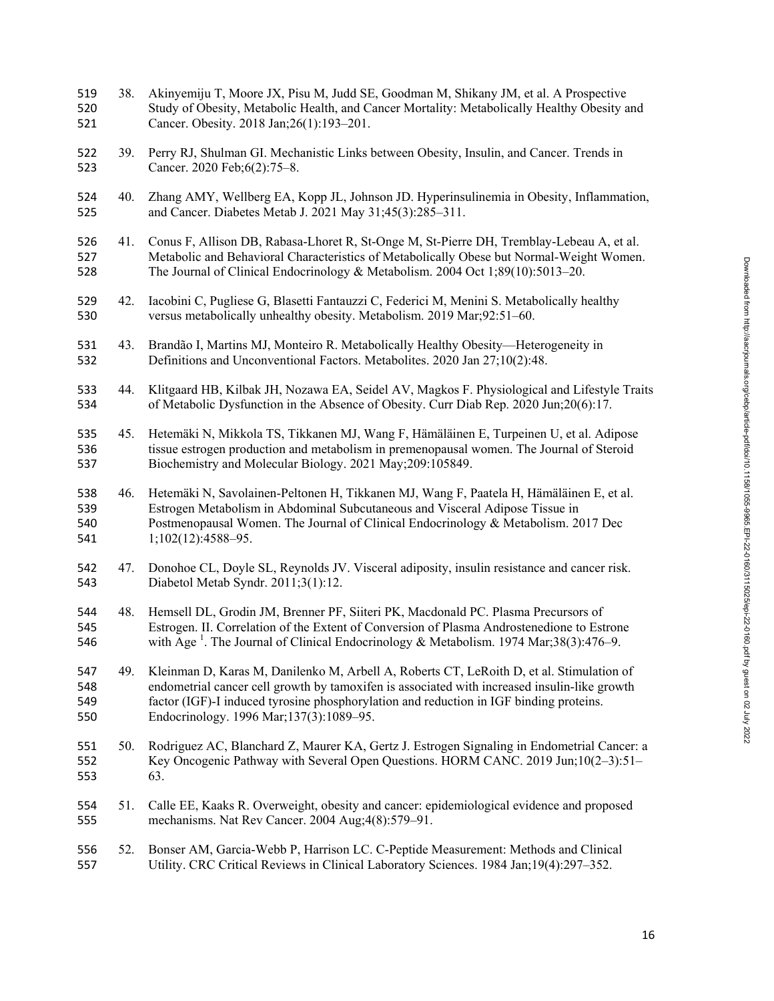- 38. Akinyemiju T, Moore JX, Pisu M, Judd SE, Goodman M, Shikany JM, et al. A Prospective Study of Obesity, Metabolic Health, and Cancer Mortality: Metabolically Healthy Obesity and Cancer. Obesity. 2018 Jan;26(1):193–201.
- 39. Perry RJ, Shulman GI. Mechanistic Links between Obesity, Insulin, and Cancer. Trends in Cancer. 2020 Feb;6(2):75–8.
- 524 40. Zhang AMY, Wellberg EA, Kopp JL, Johnson JD. Hyperinsulinemia in Obesity, Inflammation, and Cancer. Diabetes Metab J. 2021 May 31:45(3):285–311. and Cancer. Diabetes Metab J. 2021 May 31;45(3):285–311.
- 41. Conus F, Allison DB, Rabasa-Lhoret R, St-Onge M, St-Pierre DH, Tremblay-Lebeau A, et al. Metabolic and Behavioral Characteristics of Metabolically Obese but Normal-Weight Women. The Journal of Clinical Endocrinology & Metabolism. 2004 Oct 1;89(10):5013–20.
- 42. Iacobini C, Pugliese G, Blasetti Fantauzzi C, Federici M, Menini S. Metabolically healthy versus metabolically unhealthy obesity. Metabolism. 2019 Mar;92:51–60.
- 43. Brandão I, Martins MJ, Monteiro R. Metabolically Healthy Obesity—Heterogeneity in Definitions and Unconventional Factors. Metabolites. 2020 Jan 27;10(2):48.
- 44. Klitgaard HB, Kilbak JH, Nozawa EA, Seidel AV, Magkos F. Physiological and Lifestyle Traits of Metabolic Dysfunction in the Absence of Obesity. Curr Diab Rep. 2020 Jun;20(6):17.
- 45. Hetemäki N, Mikkola TS, Tikkanen MJ, Wang F, Hämäläinen E, Turpeinen U, et al. Adipose tissue estrogen production and metabolism in premenopausal women. The Journal of Steroid Biochemistry and Molecular Biology. 2021 May;209:105849.
- 46. Hetemäki N, Savolainen-Peltonen H, Tikkanen MJ, Wang F, Paatela H, Hämäläinen E, et al. Estrogen Metabolism in Abdominal Subcutaneous and Visceral Adipose Tissue in Postmenopausal Women. The Journal of Clinical Endocrinology & Metabolism. 2017 Dec 1;102(12):4588–95.
- 542 47. Donohoe CL, Doyle SL, Reynolds JV. Visceral adiposity, insulin resistance and cancer risk.<br>543 Diabetol Metab Syndr. 2011;3(1):12. Diabetol Metab Syndr. 2011;3(1):12.
- 544 48. Hemsell DL, Grodin JM, Brenner PF, Siiteri PK, Macdonald PC. Plasma Precursors of Estrogen. II. Correlation of the Extent of Conversion of Plasma Androstenedione to Est Estrogen. II. Correlation of the Extent of Conversion of Plasma Androstenedione to Estrone 546 with Age <sup>1</sup>. The Journal of Clinical Endocrinology & Metabolism. 1974 Mar;38(3):476–9.
- 49. Kleinman D, Karas M, Danilenko M, Arbell A, Roberts CT, LeRoith D, et al. Stimulation of endometrial cancer cell growth by tamoxifen is associated with increased insulin-like growth factor (IGF)-I induced tyrosine phosphorylation and reduction in IGF binding proteins. Endocrinology. 1996 Mar;137(3):1089–95.
- 50. Rodriguez AC, Blanchard Z, Maurer KA, Gertz J. Estrogen Signaling in Endometrial Cancer: a Key Oncogenic Pathway with Several Open Questions. HORM CANC. 2019 Jun;10(2–3):51– 63.
- 51. Calle EE, Kaaks R. Overweight, obesity and cancer: epidemiological evidence and proposed mechanisms. Nat Rev Cancer. 2004 Aug;4(8):579–91.
- 52. Bonser AM, Garcia-Webb P, Harrison LC. C-Peptide Measurement: Methods and Clinical Utility. CRC Critical Reviews in Clinical Laboratory Sciences. 1984 Jan;19(4):297–352.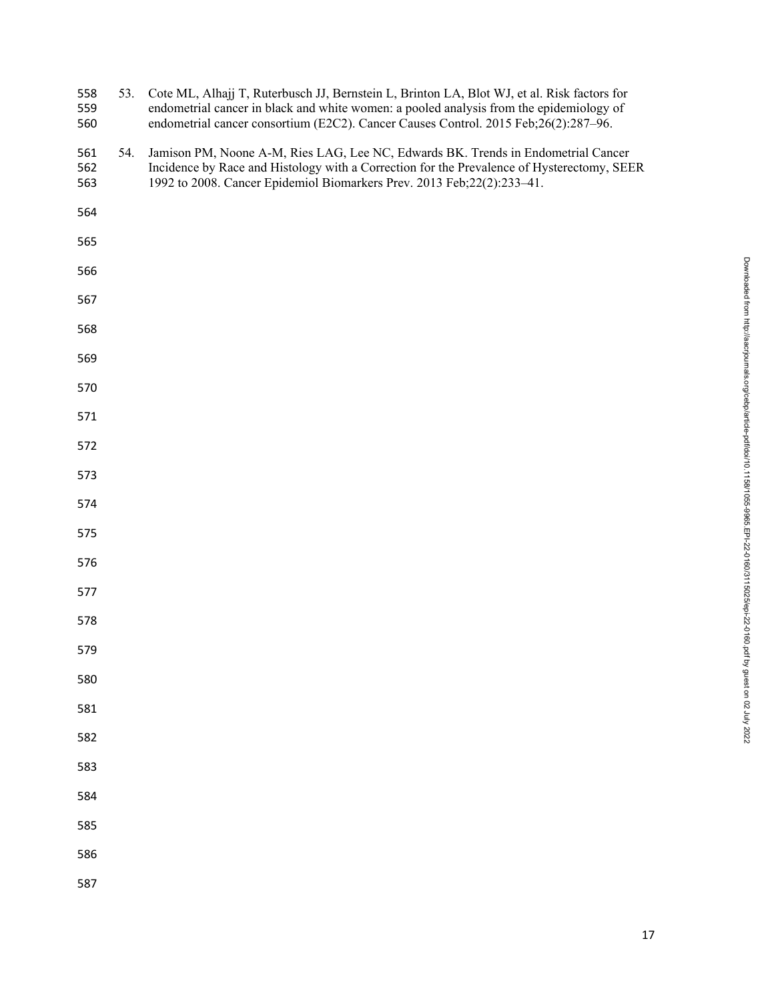- 53. Cote ML, Alhajj T, Ruterbusch JJ, Bernstein L, Brinton LA, Blot WJ, et al. Risk factors for endometrial cancer in black and white women: a pooled analysis from the epidemiology of endometrial cancer consortium (E2C2). Cancer Causes Control. 2015 Feb;26(2):287–96.
- 561 54. Jamison PM, Noone A-M, Ries LAG, Lee NC, Edwards BK. Trends in Endometrial Cancer<br>562 Incidence by Race and Histology with a Correction for the Prevalence of Hysterectomy, SEE Incidence by Race and Histology with a Correction for the Prevalence of Hysterectomy, SEER 1992 to 2008. Cancer Epidemiol Biomarkers Prev. 2013 Feb;22(2):233–41.
- 
- 
- 
- 
- 
- 
- 
- 
- 
- 
- 
- 
- 
- 
- 
- 
- 
- 
- 
- 
- 
- 
- 
- 
- 
-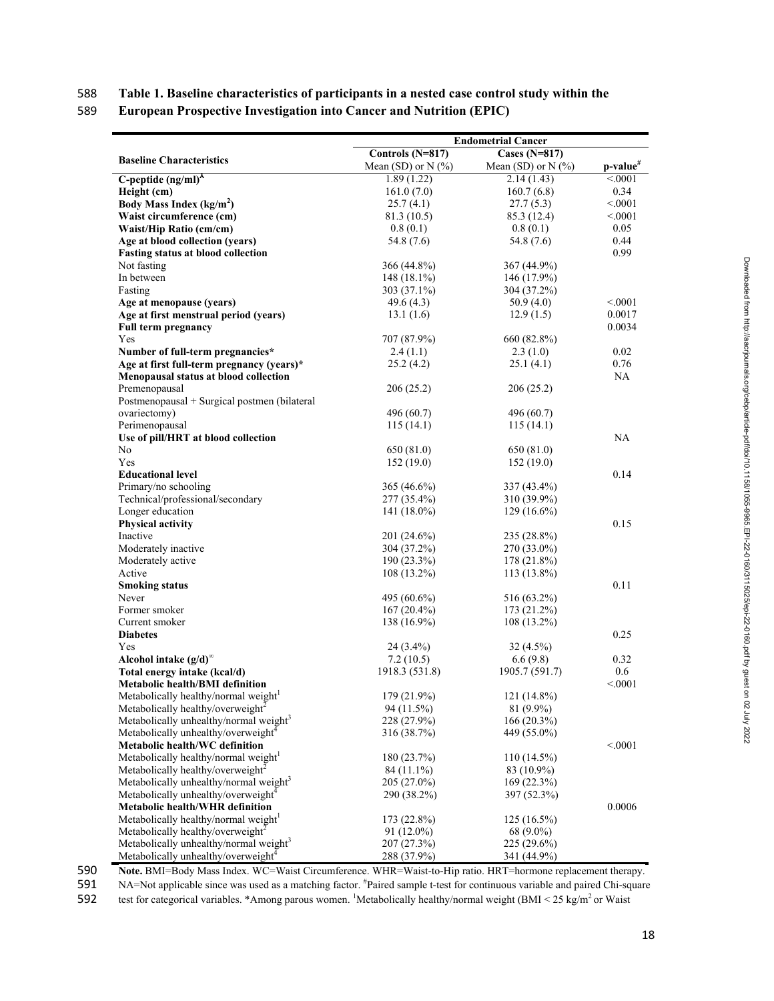# 588 **Table 1. Baseline characteristics of participants in a nested case control study within the**

589 **European Prospective Investigation into Cancer and Nutrition (EPIC)** 

| Controls (N=817)<br>Cases $(N=817)$<br><b>Baseline Characteristics</b><br>p-value#<br>Mean (SD) or $N$ (%)<br>Mean (SD) or $N$ (%)<br>C-peptide $(ng/ml)^{\lambda}$<br>1.89(1.22)<br>< 0.001<br>2.14(1.43)<br>Height (cm)<br>0.34<br>161.0(7.0)<br>160.7(6.8)<br>Body Mass Index $(kg/m2)$<br>25.7(4.1)<br>27.7(5.3)<br>< 0.001<br>Waist circumference (cm)<br>81.3 (10.5)<br>85.3 (12.4)<br>< 0.001<br>Waist/Hip Ratio (cm/cm)<br>0.05<br>0.8(0.1)<br>0.8(0.1)<br>Age at blood collection (years)<br>0.44<br>54.8 (7.6)<br>54.8 (7.6)<br>0.99<br><b>Fasting status at blood collection</b><br>Not fasting<br>366 (44.8%)<br>367 (44.9%)<br>In between<br>$148(18.1\%)$<br>146 (17.9%)<br>303 (37.1%)<br>304 (37.2%)<br>Fasting<br>< 0.001<br>Age at menopause (years)<br>49.6 $(4.3)$<br>50.9(4.0)<br>Age at first menstrual period (years)<br>12.9(1.5)<br>0.0017<br>13.1(1.6)<br><b>Full term pregnancy</b><br>0.0034<br>707 (87.9%)<br>660 (82.8%)<br>Yes<br>0.02<br>Number of full-term pregnancies*<br>2.4(1.1)<br>2.3(1.0)<br>Age at first full-term pregnancy (years)*<br>25.1(4.1)<br>0.76<br>25.2(4.2)<br>NA<br>Menopausal status at blood collection<br>Premenopausal<br>206(25.2)<br>206 (25.2)<br>Postmenopausal + Surgical postmen (bilateral<br>ovariectomy)<br>496 (60.7)<br>496 (60.7)<br>Perimenopausal<br>115(14.1)<br>115(14.1)<br>Use of pill/HRT at blood collection<br>NA<br>No<br>650 (81.0)<br>650 (81.0)<br>Yes<br>152(19.0)<br>152(19.0)<br><b>Educational level</b><br>0.14<br>Primary/no schooling<br>365 (46.6%)<br>337 (43.4%)<br>Technical/professional/secondary<br>277 (35.4%)<br>310 (39.9%)<br>Longer education<br>129 (16.6%)<br>141 (18.0%)<br><b>Physical activity</b><br>0.15<br>Inactive<br>201 (24.6%)<br>235 (28.8%)<br>Moderately inactive<br>304 (37.2%)<br>270 (33.0%)<br>Moderately active<br>$190(23.3\%)$<br>178 (21.8%)<br>Active<br>108 (13.2%)<br>113 (13.8%)<br>0.11<br>Smoking status<br>Never<br>495 (60.6%)<br>516 (63.2%)<br>Former smoker<br>$167(20.4\%)$<br>173 (21.2%)<br>Current smoker<br>138 (16.9%)<br>108 (13.2%)<br><b>Diabetes</b><br>0.25<br>$24(3.4\%)$<br>$32(4.5\%)$<br>Yes<br>0.32<br>Alcohol intake $(g/d)^\infty$<br>7.2(10.5)<br>6.6(9.8)<br>1918.3 (531.8)<br>1905.7 (591.7)<br>0.6<br>Total energy intake (kcal/d)<br>Metabolic health/BMI definition<br>< .0001<br>Metabolically healthy/normal weight1<br>121 (14.8%)<br>179 (21.9%)<br>Metabolically healthy/overweight <sup>2</sup><br>94 (11.5%)<br>81 (9.9%)<br>Metabolically unhealthy/normal weight3<br>228 (27.9%)<br>$166(20.3\%)$<br>Metabolically unhealthy/overweight <sup>4</sup><br>316 (38.7%)<br>449 (55.0%)<br>< .0001<br>Metabolic health/WC definition<br>Metabolically healthy/normal weight <sup>1</sup><br>180 (23.7%)<br>$110(14.5\%)$<br>Metabolically healthy/overweight <sup>2</sup><br>84 (11.1%)<br>83 (10.9%)<br>Metabolically unhealthy/normal weight <sup>3</sup><br>205 (27.0%)<br>169 (22.3%)<br>Metabolically unhealthy/overweight <sup>4</sup><br>290 (38.2%)<br>397 (52.3%)<br>0.0006<br><b>Metabolic health/WHR definition</b><br>Metabolically healthy/normal weight <sup>1</sup><br>173 (22.8%)<br>$125(16.5\%)$<br>Metabolically healthy/overweight <sup>2</sup><br>91 (12.0%)<br>68 (9.0%)<br>Metabolically unhealthy/normal weight3<br>207 (27.3%)<br>225 (29.6%) |                                                 |             | <b>Endometrial Cancer</b> |  |
|--------------------------------------------------------------------------------------------------------------------------------------------------------------------------------------------------------------------------------------------------------------------------------------------------------------------------------------------------------------------------------------------------------------------------------------------------------------------------------------------------------------------------------------------------------------------------------------------------------------------------------------------------------------------------------------------------------------------------------------------------------------------------------------------------------------------------------------------------------------------------------------------------------------------------------------------------------------------------------------------------------------------------------------------------------------------------------------------------------------------------------------------------------------------------------------------------------------------------------------------------------------------------------------------------------------------------------------------------------------------------------------------------------------------------------------------------------------------------------------------------------------------------------------------------------------------------------------------------------------------------------------------------------------------------------------------------------------------------------------------------------------------------------------------------------------------------------------------------------------------------------------------------------------------------------------------------------------------------------------------------------------------------------------------------------------------------------------------------------------------------------------------------------------------------------------------------------------------------------------------------------------------------------------------------------------------------------------------------------------------------------------------------------------------------------------------------------------------------------------------------------------------------------------------------------------------------------------------------------------------------------------------------------------------------------------------------------------------------------------------------------------------------------------------------------------------------------------------------------------------------------------------------------------------------------------------------------------------------------------------------------------------------------------------------------------------------------------------------------------------------------------------------------------------------------------------------------------------------------------------------------------------------------------------------------------------------------------------|-------------------------------------------------|-------------|---------------------------|--|
|                                                                                                                                                                                                                                                                                                                                                                                                                                                                                                                                                                                                                                                                                                                                                                                                                                                                                                                                                                                                                                                                                                                                                                                                                                                                                                                                                                                                                                                                                                                                                                                                                                                                                                                                                                                                                                                                                                                                                                                                                                                                                                                                                                                                                                                                                                                                                                                                                                                                                                                                                                                                                                                                                                                                                                                                                                                                                                                                                                                                                                                                                                                                                                                                                                                                                                                                            |                                                 |             |                           |  |
|                                                                                                                                                                                                                                                                                                                                                                                                                                                                                                                                                                                                                                                                                                                                                                                                                                                                                                                                                                                                                                                                                                                                                                                                                                                                                                                                                                                                                                                                                                                                                                                                                                                                                                                                                                                                                                                                                                                                                                                                                                                                                                                                                                                                                                                                                                                                                                                                                                                                                                                                                                                                                                                                                                                                                                                                                                                                                                                                                                                                                                                                                                                                                                                                                                                                                                                                            |                                                 |             |                           |  |
|                                                                                                                                                                                                                                                                                                                                                                                                                                                                                                                                                                                                                                                                                                                                                                                                                                                                                                                                                                                                                                                                                                                                                                                                                                                                                                                                                                                                                                                                                                                                                                                                                                                                                                                                                                                                                                                                                                                                                                                                                                                                                                                                                                                                                                                                                                                                                                                                                                                                                                                                                                                                                                                                                                                                                                                                                                                                                                                                                                                                                                                                                                                                                                                                                                                                                                                                            |                                                 |             |                           |  |
|                                                                                                                                                                                                                                                                                                                                                                                                                                                                                                                                                                                                                                                                                                                                                                                                                                                                                                                                                                                                                                                                                                                                                                                                                                                                                                                                                                                                                                                                                                                                                                                                                                                                                                                                                                                                                                                                                                                                                                                                                                                                                                                                                                                                                                                                                                                                                                                                                                                                                                                                                                                                                                                                                                                                                                                                                                                                                                                                                                                                                                                                                                                                                                                                                                                                                                                                            |                                                 |             |                           |  |
|                                                                                                                                                                                                                                                                                                                                                                                                                                                                                                                                                                                                                                                                                                                                                                                                                                                                                                                                                                                                                                                                                                                                                                                                                                                                                                                                                                                                                                                                                                                                                                                                                                                                                                                                                                                                                                                                                                                                                                                                                                                                                                                                                                                                                                                                                                                                                                                                                                                                                                                                                                                                                                                                                                                                                                                                                                                                                                                                                                                                                                                                                                                                                                                                                                                                                                                                            |                                                 |             |                           |  |
|                                                                                                                                                                                                                                                                                                                                                                                                                                                                                                                                                                                                                                                                                                                                                                                                                                                                                                                                                                                                                                                                                                                                                                                                                                                                                                                                                                                                                                                                                                                                                                                                                                                                                                                                                                                                                                                                                                                                                                                                                                                                                                                                                                                                                                                                                                                                                                                                                                                                                                                                                                                                                                                                                                                                                                                                                                                                                                                                                                                                                                                                                                                                                                                                                                                                                                                                            |                                                 |             |                           |  |
|                                                                                                                                                                                                                                                                                                                                                                                                                                                                                                                                                                                                                                                                                                                                                                                                                                                                                                                                                                                                                                                                                                                                                                                                                                                                                                                                                                                                                                                                                                                                                                                                                                                                                                                                                                                                                                                                                                                                                                                                                                                                                                                                                                                                                                                                                                                                                                                                                                                                                                                                                                                                                                                                                                                                                                                                                                                                                                                                                                                                                                                                                                                                                                                                                                                                                                                                            |                                                 |             |                           |  |
|                                                                                                                                                                                                                                                                                                                                                                                                                                                                                                                                                                                                                                                                                                                                                                                                                                                                                                                                                                                                                                                                                                                                                                                                                                                                                                                                                                                                                                                                                                                                                                                                                                                                                                                                                                                                                                                                                                                                                                                                                                                                                                                                                                                                                                                                                                                                                                                                                                                                                                                                                                                                                                                                                                                                                                                                                                                                                                                                                                                                                                                                                                                                                                                                                                                                                                                                            |                                                 |             |                           |  |
|                                                                                                                                                                                                                                                                                                                                                                                                                                                                                                                                                                                                                                                                                                                                                                                                                                                                                                                                                                                                                                                                                                                                                                                                                                                                                                                                                                                                                                                                                                                                                                                                                                                                                                                                                                                                                                                                                                                                                                                                                                                                                                                                                                                                                                                                                                                                                                                                                                                                                                                                                                                                                                                                                                                                                                                                                                                                                                                                                                                                                                                                                                                                                                                                                                                                                                                                            |                                                 |             |                           |  |
|                                                                                                                                                                                                                                                                                                                                                                                                                                                                                                                                                                                                                                                                                                                                                                                                                                                                                                                                                                                                                                                                                                                                                                                                                                                                                                                                                                                                                                                                                                                                                                                                                                                                                                                                                                                                                                                                                                                                                                                                                                                                                                                                                                                                                                                                                                                                                                                                                                                                                                                                                                                                                                                                                                                                                                                                                                                                                                                                                                                                                                                                                                                                                                                                                                                                                                                                            |                                                 |             |                           |  |
|                                                                                                                                                                                                                                                                                                                                                                                                                                                                                                                                                                                                                                                                                                                                                                                                                                                                                                                                                                                                                                                                                                                                                                                                                                                                                                                                                                                                                                                                                                                                                                                                                                                                                                                                                                                                                                                                                                                                                                                                                                                                                                                                                                                                                                                                                                                                                                                                                                                                                                                                                                                                                                                                                                                                                                                                                                                                                                                                                                                                                                                                                                                                                                                                                                                                                                                                            |                                                 |             |                           |  |
|                                                                                                                                                                                                                                                                                                                                                                                                                                                                                                                                                                                                                                                                                                                                                                                                                                                                                                                                                                                                                                                                                                                                                                                                                                                                                                                                                                                                                                                                                                                                                                                                                                                                                                                                                                                                                                                                                                                                                                                                                                                                                                                                                                                                                                                                                                                                                                                                                                                                                                                                                                                                                                                                                                                                                                                                                                                                                                                                                                                                                                                                                                                                                                                                                                                                                                                                            |                                                 |             |                           |  |
|                                                                                                                                                                                                                                                                                                                                                                                                                                                                                                                                                                                                                                                                                                                                                                                                                                                                                                                                                                                                                                                                                                                                                                                                                                                                                                                                                                                                                                                                                                                                                                                                                                                                                                                                                                                                                                                                                                                                                                                                                                                                                                                                                                                                                                                                                                                                                                                                                                                                                                                                                                                                                                                                                                                                                                                                                                                                                                                                                                                                                                                                                                                                                                                                                                                                                                                                            |                                                 |             |                           |  |
|                                                                                                                                                                                                                                                                                                                                                                                                                                                                                                                                                                                                                                                                                                                                                                                                                                                                                                                                                                                                                                                                                                                                                                                                                                                                                                                                                                                                                                                                                                                                                                                                                                                                                                                                                                                                                                                                                                                                                                                                                                                                                                                                                                                                                                                                                                                                                                                                                                                                                                                                                                                                                                                                                                                                                                                                                                                                                                                                                                                                                                                                                                                                                                                                                                                                                                                                            |                                                 |             |                           |  |
|                                                                                                                                                                                                                                                                                                                                                                                                                                                                                                                                                                                                                                                                                                                                                                                                                                                                                                                                                                                                                                                                                                                                                                                                                                                                                                                                                                                                                                                                                                                                                                                                                                                                                                                                                                                                                                                                                                                                                                                                                                                                                                                                                                                                                                                                                                                                                                                                                                                                                                                                                                                                                                                                                                                                                                                                                                                                                                                                                                                                                                                                                                                                                                                                                                                                                                                                            |                                                 |             |                           |  |
|                                                                                                                                                                                                                                                                                                                                                                                                                                                                                                                                                                                                                                                                                                                                                                                                                                                                                                                                                                                                                                                                                                                                                                                                                                                                                                                                                                                                                                                                                                                                                                                                                                                                                                                                                                                                                                                                                                                                                                                                                                                                                                                                                                                                                                                                                                                                                                                                                                                                                                                                                                                                                                                                                                                                                                                                                                                                                                                                                                                                                                                                                                                                                                                                                                                                                                                                            |                                                 |             |                           |  |
|                                                                                                                                                                                                                                                                                                                                                                                                                                                                                                                                                                                                                                                                                                                                                                                                                                                                                                                                                                                                                                                                                                                                                                                                                                                                                                                                                                                                                                                                                                                                                                                                                                                                                                                                                                                                                                                                                                                                                                                                                                                                                                                                                                                                                                                                                                                                                                                                                                                                                                                                                                                                                                                                                                                                                                                                                                                                                                                                                                                                                                                                                                                                                                                                                                                                                                                                            |                                                 |             |                           |  |
|                                                                                                                                                                                                                                                                                                                                                                                                                                                                                                                                                                                                                                                                                                                                                                                                                                                                                                                                                                                                                                                                                                                                                                                                                                                                                                                                                                                                                                                                                                                                                                                                                                                                                                                                                                                                                                                                                                                                                                                                                                                                                                                                                                                                                                                                                                                                                                                                                                                                                                                                                                                                                                                                                                                                                                                                                                                                                                                                                                                                                                                                                                                                                                                                                                                                                                                                            |                                                 |             |                           |  |
|                                                                                                                                                                                                                                                                                                                                                                                                                                                                                                                                                                                                                                                                                                                                                                                                                                                                                                                                                                                                                                                                                                                                                                                                                                                                                                                                                                                                                                                                                                                                                                                                                                                                                                                                                                                                                                                                                                                                                                                                                                                                                                                                                                                                                                                                                                                                                                                                                                                                                                                                                                                                                                                                                                                                                                                                                                                                                                                                                                                                                                                                                                                                                                                                                                                                                                                                            |                                                 |             |                           |  |
|                                                                                                                                                                                                                                                                                                                                                                                                                                                                                                                                                                                                                                                                                                                                                                                                                                                                                                                                                                                                                                                                                                                                                                                                                                                                                                                                                                                                                                                                                                                                                                                                                                                                                                                                                                                                                                                                                                                                                                                                                                                                                                                                                                                                                                                                                                                                                                                                                                                                                                                                                                                                                                                                                                                                                                                                                                                                                                                                                                                                                                                                                                                                                                                                                                                                                                                                            |                                                 |             |                           |  |
|                                                                                                                                                                                                                                                                                                                                                                                                                                                                                                                                                                                                                                                                                                                                                                                                                                                                                                                                                                                                                                                                                                                                                                                                                                                                                                                                                                                                                                                                                                                                                                                                                                                                                                                                                                                                                                                                                                                                                                                                                                                                                                                                                                                                                                                                                                                                                                                                                                                                                                                                                                                                                                                                                                                                                                                                                                                                                                                                                                                                                                                                                                                                                                                                                                                                                                                                            |                                                 |             |                           |  |
|                                                                                                                                                                                                                                                                                                                                                                                                                                                                                                                                                                                                                                                                                                                                                                                                                                                                                                                                                                                                                                                                                                                                                                                                                                                                                                                                                                                                                                                                                                                                                                                                                                                                                                                                                                                                                                                                                                                                                                                                                                                                                                                                                                                                                                                                                                                                                                                                                                                                                                                                                                                                                                                                                                                                                                                                                                                                                                                                                                                                                                                                                                                                                                                                                                                                                                                                            |                                                 |             |                           |  |
|                                                                                                                                                                                                                                                                                                                                                                                                                                                                                                                                                                                                                                                                                                                                                                                                                                                                                                                                                                                                                                                                                                                                                                                                                                                                                                                                                                                                                                                                                                                                                                                                                                                                                                                                                                                                                                                                                                                                                                                                                                                                                                                                                                                                                                                                                                                                                                                                                                                                                                                                                                                                                                                                                                                                                                                                                                                                                                                                                                                                                                                                                                                                                                                                                                                                                                                                            |                                                 |             |                           |  |
|                                                                                                                                                                                                                                                                                                                                                                                                                                                                                                                                                                                                                                                                                                                                                                                                                                                                                                                                                                                                                                                                                                                                                                                                                                                                                                                                                                                                                                                                                                                                                                                                                                                                                                                                                                                                                                                                                                                                                                                                                                                                                                                                                                                                                                                                                                                                                                                                                                                                                                                                                                                                                                                                                                                                                                                                                                                                                                                                                                                                                                                                                                                                                                                                                                                                                                                                            |                                                 |             |                           |  |
|                                                                                                                                                                                                                                                                                                                                                                                                                                                                                                                                                                                                                                                                                                                                                                                                                                                                                                                                                                                                                                                                                                                                                                                                                                                                                                                                                                                                                                                                                                                                                                                                                                                                                                                                                                                                                                                                                                                                                                                                                                                                                                                                                                                                                                                                                                                                                                                                                                                                                                                                                                                                                                                                                                                                                                                                                                                                                                                                                                                                                                                                                                                                                                                                                                                                                                                                            |                                                 |             |                           |  |
|                                                                                                                                                                                                                                                                                                                                                                                                                                                                                                                                                                                                                                                                                                                                                                                                                                                                                                                                                                                                                                                                                                                                                                                                                                                                                                                                                                                                                                                                                                                                                                                                                                                                                                                                                                                                                                                                                                                                                                                                                                                                                                                                                                                                                                                                                                                                                                                                                                                                                                                                                                                                                                                                                                                                                                                                                                                                                                                                                                                                                                                                                                                                                                                                                                                                                                                                            |                                                 |             |                           |  |
|                                                                                                                                                                                                                                                                                                                                                                                                                                                                                                                                                                                                                                                                                                                                                                                                                                                                                                                                                                                                                                                                                                                                                                                                                                                                                                                                                                                                                                                                                                                                                                                                                                                                                                                                                                                                                                                                                                                                                                                                                                                                                                                                                                                                                                                                                                                                                                                                                                                                                                                                                                                                                                                                                                                                                                                                                                                                                                                                                                                                                                                                                                                                                                                                                                                                                                                                            |                                                 |             |                           |  |
|                                                                                                                                                                                                                                                                                                                                                                                                                                                                                                                                                                                                                                                                                                                                                                                                                                                                                                                                                                                                                                                                                                                                                                                                                                                                                                                                                                                                                                                                                                                                                                                                                                                                                                                                                                                                                                                                                                                                                                                                                                                                                                                                                                                                                                                                                                                                                                                                                                                                                                                                                                                                                                                                                                                                                                                                                                                                                                                                                                                                                                                                                                                                                                                                                                                                                                                                            |                                                 |             |                           |  |
|                                                                                                                                                                                                                                                                                                                                                                                                                                                                                                                                                                                                                                                                                                                                                                                                                                                                                                                                                                                                                                                                                                                                                                                                                                                                                                                                                                                                                                                                                                                                                                                                                                                                                                                                                                                                                                                                                                                                                                                                                                                                                                                                                                                                                                                                                                                                                                                                                                                                                                                                                                                                                                                                                                                                                                                                                                                                                                                                                                                                                                                                                                                                                                                                                                                                                                                                            |                                                 |             |                           |  |
|                                                                                                                                                                                                                                                                                                                                                                                                                                                                                                                                                                                                                                                                                                                                                                                                                                                                                                                                                                                                                                                                                                                                                                                                                                                                                                                                                                                                                                                                                                                                                                                                                                                                                                                                                                                                                                                                                                                                                                                                                                                                                                                                                                                                                                                                                                                                                                                                                                                                                                                                                                                                                                                                                                                                                                                                                                                                                                                                                                                                                                                                                                                                                                                                                                                                                                                                            |                                                 |             |                           |  |
|                                                                                                                                                                                                                                                                                                                                                                                                                                                                                                                                                                                                                                                                                                                                                                                                                                                                                                                                                                                                                                                                                                                                                                                                                                                                                                                                                                                                                                                                                                                                                                                                                                                                                                                                                                                                                                                                                                                                                                                                                                                                                                                                                                                                                                                                                                                                                                                                                                                                                                                                                                                                                                                                                                                                                                                                                                                                                                                                                                                                                                                                                                                                                                                                                                                                                                                                            |                                                 |             |                           |  |
|                                                                                                                                                                                                                                                                                                                                                                                                                                                                                                                                                                                                                                                                                                                                                                                                                                                                                                                                                                                                                                                                                                                                                                                                                                                                                                                                                                                                                                                                                                                                                                                                                                                                                                                                                                                                                                                                                                                                                                                                                                                                                                                                                                                                                                                                                                                                                                                                                                                                                                                                                                                                                                                                                                                                                                                                                                                                                                                                                                                                                                                                                                                                                                                                                                                                                                                                            |                                                 |             |                           |  |
|                                                                                                                                                                                                                                                                                                                                                                                                                                                                                                                                                                                                                                                                                                                                                                                                                                                                                                                                                                                                                                                                                                                                                                                                                                                                                                                                                                                                                                                                                                                                                                                                                                                                                                                                                                                                                                                                                                                                                                                                                                                                                                                                                                                                                                                                                                                                                                                                                                                                                                                                                                                                                                                                                                                                                                                                                                                                                                                                                                                                                                                                                                                                                                                                                                                                                                                                            |                                                 |             |                           |  |
|                                                                                                                                                                                                                                                                                                                                                                                                                                                                                                                                                                                                                                                                                                                                                                                                                                                                                                                                                                                                                                                                                                                                                                                                                                                                                                                                                                                                                                                                                                                                                                                                                                                                                                                                                                                                                                                                                                                                                                                                                                                                                                                                                                                                                                                                                                                                                                                                                                                                                                                                                                                                                                                                                                                                                                                                                                                                                                                                                                                                                                                                                                                                                                                                                                                                                                                                            |                                                 |             |                           |  |
|                                                                                                                                                                                                                                                                                                                                                                                                                                                                                                                                                                                                                                                                                                                                                                                                                                                                                                                                                                                                                                                                                                                                                                                                                                                                                                                                                                                                                                                                                                                                                                                                                                                                                                                                                                                                                                                                                                                                                                                                                                                                                                                                                                                                                                                                                                                                                                                                                                                                                                                                                                                                                                                                                                                                                                                                                                                                                                                                                                                                                                                                                                                                                                                                                                                                                                                                            |                                                 |             |                           |  |
|                                                                                                                                                                                                                                                                                                                                                                                                                                                                                                                                                                                                                                                                                                                                                                                                                                                                                                                                                                                                                                                                                                                                                                                                                                                                                                                                                                                                                                                                                                                                                                                                                                                                                                                                                                                                                                                                                                                                                                                                                                                                                                                                                                                                                                                                                                                                                                                                                                                                                                                                                                                                                                                                                                                                                                                                                                                                                                                                                                                                                                                                                                                                                                                                                                                                                                                                            |                                                 |             |                           |  |
|                                                                                                                                                                                                                                                                                                                                                                                                                                                                                                                                                                                                                                                                                                                                                                                                                                                                                                                                                                                                                                                                                                                                                                                                                                                                                                                                                                                                                                                                                                                                                                                                                                                                                                                                                                                                                                                                                                                                                                                                                                                                                                                                                                                                                                                                                                                                                                                                                                                                                                                                                                                                                                                                                                                                                                                                                                                                                                                                                                                                                                                                                                                                                                                                                                                                                                                                            |                                                 |             |                           |  |
|                                                                                                                                                                                                                                                                                                                                                                                                                                                                                                                                                                                                                                                                                                                                                                                                                                                                                                                                                                                                                                                                                                                                                                                                                                                                                                                                                                                                                                                                                                                                                                                                                                                                                                                                                                                                                                                                                                                                                                                                                                                                                                                                                                                                                                                                                                                                                                                                                                                                                                                                                                                                                                                                                                                                                                                                                                                                                                                                                                                                                                                                                                                                                                                                                                                                                                                                            |                                                 |             |                           |  |
|                                                                                                                                                                                                                                                                                                                                                                                                                                                                                                                                                                                                                                                                                                                                                                                                                                                                                                                                                                                                                                                                                                                                                                                                                                                                                                                                                                                                                                                                                                                                                                                                                                                                                                                                                                                                                                                                                                                                                                                                                                                                                                                                                                                                                                                                                                                                                                                                                                                                                                                                                                                                                                                                                                                                                                                                                                                                                                                                                                                                                                                                                                                                                                                                                                                                                                                                            |                                                 |             |                           |  |
|                                                                                                                                                                                                                                                                                                                                                                                                                                                                                                                                                                                                                                                                                                                                                                                                                                                                                                                                                                                                                                                                                                                                                                                                                                                                                                                                                                                                                                                                                                                                                                                                                                                                                                                                                                                                                                                                                                                                                                                                                                                                                                                                                                                                                                                                                                                                                                                                                                                                                                                                                                                                                                                                                                                                                                                                                                                                                                                                                                                                                                                                                                                                                                                                                                                                                                                                            |                                                 |             |                           |  |
|                                                                                                                                                                                                                                                                                                                                                                                                                                                                                                                                                                                                                                                                                                                                                                                                                                                                                                                                                                                                                                                                                                                                                                                                                                                                                                                                                                                                                                                                                                                                                                                                                                                                                                                                                                                                                                                                                                                                                                                                                                                                                                                                                                                                                                                                                                                                                                                                                                                                                                                                                                                                                                                                                                                                                                                                                                                                                                                                                                                                                                                                                                                                                                                                                                                                                                                                            |                                                 |             |                           |  |
|                                                                                                                                                                                                                                                                                                                                                                                                                                                                                                                                                                                                                                                                                                                                                                                                                                                                                                                                                                                                                                                                                                                                                                                                                                                                                                                                                                                                                                                                                                                                                                                                                                                                                                                                                                                                                                                                                                                                                                                                                                                                                                                                                                                                                                                                                                                                                                                                                                                                                                                                                                                                                                                                                                                                                                                                                                                                                                                                                                                                                                                                                                                                                                                                                                                                                                                                            |                                                 |             |                           |  |
|                                                                                                                                                                                                                                                                                                                                                                                                                                                                                                                                                                                                                                                                                                                                                                                                                                                                                                                                                                                                                                                                                                                                                                                                                                                                                                                                                                                                                                                                                                                                                                                                                                                                                                                                                                                                                                                                                                                                                                                                                                                                                                                                                                                                                                                                                                                                                                                                                                                                                                                                                                                                                                                                                                                                                                                                                                                                                                                                                                                                                                                                                                                                                                                                                                                                                                                                            |                                                 |             |                           |  |
|                                                                                                                                                                                                                                                                                                                                                                                                                                                                                                                                                                                                                                                                                                                                                                                                                                                                                                                                                                                                                                                                                                                                                                                                                                                                                                                                                                                                                                                                                                                                                                                                                                                                                                                                                                                                                                                                                                                                                                                                                                                                                                                                                                                                                                                                                                                                                                                                                                                                                                                                                                                                                                                                                                                                                                                                                                                                                                                                                                                                                                                                                                                                                                                                                                                                                                                                            |                                                 |             |                           |  |
|                                                                                                                                                                                                                                                                                                                                                                                                                                                                                                                                                                                                                                                                                                                                                                                                                                                                                                                                                                                                                                                                                                                                                                                                                                                                                                                                                                                                                                                                                                                                                                                                                                                                                                                                                                                                                                                                                                                                                                                                                                                                                                                                                                                                                                                                                                                                                                                                                                                                                                                                                                                                                                                                                                                                                                                                                                                                                                                                                                                                                                                                                                                                                                                                                                                                                                                                            |                                                 |             |                           |  |
|                                                                                                                                                                                                                                                                                                                                                                                                                                                                                                                                                                                                                                                                                                                                                                                                                                                                                                                                                                                                                                                                                                                                                                                                                                                                                                                                                                                                                                                                                                                                                                                                                                                                                                                                                                                                                                                                                                                                                                                                                                                                                                                                                                                                                                                                                                                                                                                                                                                                                                                                                                                                                                                                                                                                                                                                                                                                                                                                                                                                                                                                                                                                                                                                                                                                                                                                            |                                                 |             |                           |  |
|                                                                                                                                                                                                                                                                                                                                                                                                                                                                                                                                                                                                                                                                                                                                                                                                                                                                                                                                                                                                                                                                                                                                                                                                                                                                                                                                                                                                                                                                                                                                                                                                                                                                                                                                                                                                                                                                                                                                                                                                                                                                                                                                                                                                                                                                                                                                                                                                                                                                                                                                                                                                                                                                                                                                                                                                                                                                                                                                                                                                                                                                                                                                                                                                                                                                                                                                            |                                                 |             |                           |  |
|                                                                                                                                                                                                                                                                                                                                                                                                                                                                                                                                                                                                                                                                                                                                                                                                                                                                                                                                                                                                                                                                                                                                                                                                                                                                                                                                                                                                                                                                                                                                                                                                                                                                                                                                                                                                                                                                                                                                                                                                                                                                                                                                                                                                                                                                                                                                                                                                                                                                                                                                                                                                                                                                                                                                                                                                                                                                                                                                                                                                                                                                                                                                                                                                                                                                                                                                            |                                                 |             |                           |  |
|                                                                                                                                                                                                                                                                                                                                                                                                                                                                                                                                                                                                                                                                                                                                                                                                                                                                                                                                                                                                                                                                                                                                                                                                                                                                                                                                                                                                                                                                                                                                                                                                                                                                                                                                                                                                                                                                                                                                                                                                                                                                                                                                                                                                                                                                                                                                                                                                                                                                                                                                                                                                                                                                                                                                                                                                                                                                                                                                                                                                                                                                                                                                                                                                                                                                                                                                            |                                                 |             |                           |  |
|                                                                                                                                                                                                                                                                                                                                                                                                                                                                                                                                                                                                                                                                                                                                                                                                                                                                                                                                                                                                                                                                                                                                                                                                                                                                                                                                                                                                                                                                                                                                                                                                                                                                                                                                                                                                                                                                                                                                                                                                                                                                                                                                                                                                                                                                                                                                                                                                                                                                                                                                                                                                                                                                                                                                                                                                                                                                                                                                                                                                                                                                                                                                                                                                                                                                                                                                            |                                                 |             |                           |  |
|                                                                                                                                                                                                                                                                                                                                                                                                                                                                                                                                                                                                                                                                                                                                                                                                                                                                                                                                                                                                                                                                                                                                                                                                                                                                                                                                                                                                                                                                                                                                                                                                                                                                                                                                                                                                                                                                                                                                                                                                                                                                                                                                                                                                                                                                                                                                                                                                                                                                                                                                                                                                                                                                                                                                                                                                                                                                                                                                                                                                                                                                                                                                                                                                                                                                                                                                            |                                                 |             |                           |  |
|                                                                                                                                                                                                                                                                                                                                                                                                                                                                                                                                                                                                                                                                                                                                                                                                                                                                                                                                                                                                                                                                                                                                                                                                                                                                                                                                                                                                                                                                                                                                                                                                                                                                                                                                                                                                                                                                                                                                                                                                                                                                                                                                                                                                                                                                                                                                                                                                                                                                                                                                                                                                                                                                                                                                                                                                                                                                                                                                                                                                                                                                                                                                                                                                                                                                                                                                            |                                                 |             |                           |  |
|                                                                                                                                                                                                                                                                                                                                                                                                                                                                                                                                                                                                                                                                                                                                                                                                                                                                                                                                                                                                                                                                                                                                                                                                                                                                                                                                                                                                                                                                                                                                                                                                                                                                                                                                                                                                                                                                                                                                                                                                                                                                                                                                                                                                                                                                                                                                                                                                                                                                                                                                                                                                                                                                                                                                                                                                                                                                                                                                                                                                                                                                                                                                                                                                                                                                                                                                            |                                                 |             |                           |  |
|                                                                                                                                                                                                                                                                                                                                                                                                                                                                                                                                                                                                                                                                                                                                                                                                                                                                                                                                                                                                                                                                                                                                                                                                                                                                                                                                                                                                                                                                                                                                                                                                                                                                                                                                                                                                                                                                                                                                                                                                                                                                                                                                                                                                                                                                                                                                                                                                                                                                                                                                                                                                                                                                                                                                                                                                                                                                                                                                                                                                                                                                                                                                                                                                                                                                                                                                            |                                                 |             |                           |  |
|                                                                                                                                                                                                                                                                                                                                                                                                                                                                                                                                                                                                                                                                                                                                                                                                                                                                                                                                                                                                                                                                                                                                                                                                                                                                                                                                                                                                                                                                                                                                                                                                                                                                                                                                                                                                                                                                                                                                                                                                                                                                                                                                                                                                                                                                                                                                                                                                                                                                                                                                                                                                                                                                                                                                                                                                                                                                                                                                                                                                                                                                                                                                                                                                                                                                                                                                            |                                                 |             |                           |  |
|                                                                                                                                                                                                                                                                                                                                                                                                                                                                                                                                                                                                                                                                                                                                                                                                                                                                                                                                                                                                                                                                                                                                                                                                                                                                                                                                                                                                                                                                                                                                                                                                                                                                                                                                                                                                                                                                                                                                                                                                                                                                                                                                                                                                                                                                                                                                                                                                                                                                                                                                                                                                                                                                                                                                                                                                                                                                                                                                                                                                                                                                                                                                                                                                                                                                                                                                            |                                                 |             |                           |  |
|                                                                                                                                                                                                                                                                                                                                                                                                                                                                                                                                                                                                                                                                                                                                                                                                                                                                                                                                                                                                                                                                                                                                                                                                                                                                                                                                                                                                                                                                                                                                                                                                                                                                                                                                                                                                                                                                                                                                                                                                                                                                                                                                                                                                                                                                                                                                                                                                                                                                                                                                                                                                                                                                                                                                                                                                                                                                                                                                                                                                                                                                                                                                                                                                                                                                                                                                            |                                                 |             |                           |  |
|                                                                                                                                                                                                                                                                                                                                                                                                                                                                                                                                                                                                                                                                                                                                                                                                                                                                                                                                                                                                                                                                                                                                                                                                                                                                                                                                                                                                                                                                                                                                                                                                                                                                                                                                                                                                                                                                                                                                                                                                                                                                                                                                                                                                                                                                                                                                                                                                                                                                                                                                                                                                                                                                                                                                                                                                                                                                                                                                                                                                                                                                                                                                                                                                                                                                                                                                            | Metabolically unhealthy/overweight <sup>4</sup> | 288 (37.9%) | 341 (44.9%)               |  |

590 **Note.** BMI=Body Mass Index. WC=Waist Circumference. WHR=Waist-to-Hip ratio. HRT=hormone replacement therapy.<br>591 NA=Not applicable since was used as a matching factor. <sup>#</sup>Paired sample t-test for continuous variable a

NA=Not applicable since was used as a matching factor. \*Paired sample t-test for continuous variable and paired Chi-square<br>592 test for categorical variables. \*Among parous women. <sup>1</sup>Metabolically healthy/normal weight (B 592 test for categorical variables. \*Among parous women. <sup>1</sup>Metabolically healthy/normal weight (BMI < 25 kg/m<sup>2</sup> or Waist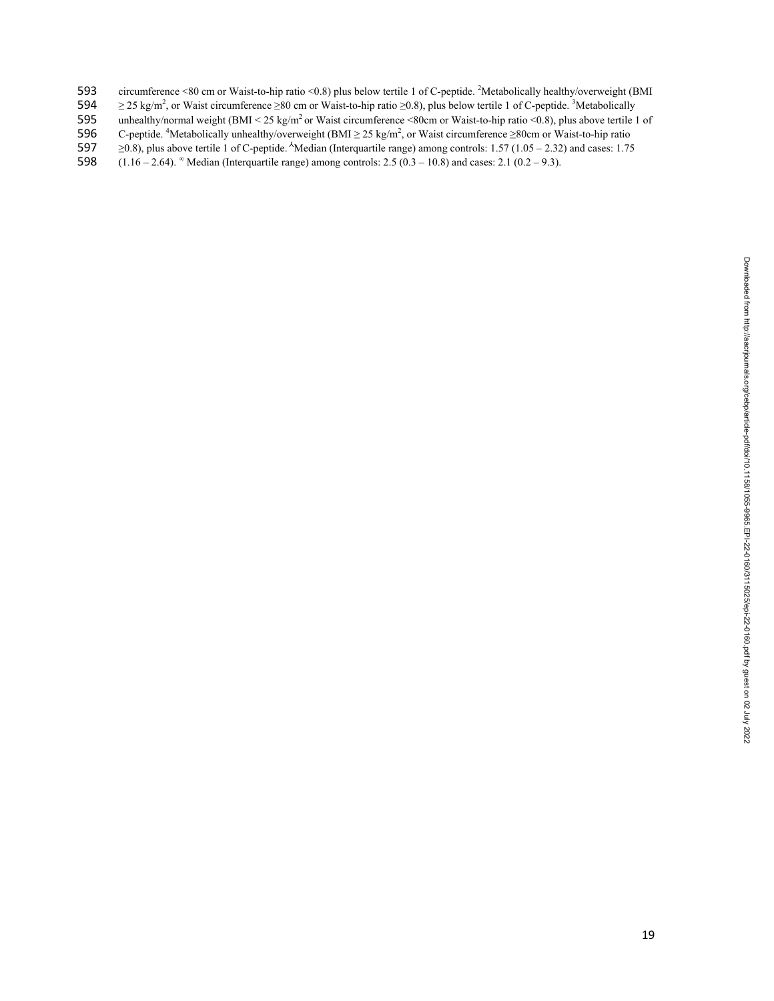- 593 circumference <80 cm or Waist-to-hip ratio <0.8) plus below tertile 1 of C-peptide. <sup>2</sup>Metabolically healthy/overweight (BMI 594  $\geq$  25 kg/m<sup>2</sup>, or Waist circumference  $\geq$ 80 cm or Waist-to-hip ratio  $\geq$ 0.8), plu
- 594 ≥ 25 kg/m<sup>2</sup>, or Waist circumference ≥80 cm or Waist-to-hip ratio ≥0.8), plus below tertile 1 of C-peptide. <sup>3</sup>Metabolically
- unhealthy/normal weight (BMI <  $25 \text{ kg/m}^2$  or Waist circumference <80cm or Waist-to-hip ratio <0.8), plus above tertile 1 of<br>596 C-peptide. "Metabolically unhealthy/overweight (BMI  $\geq$  25 kg/m<sup>2</sup>, or Waist circumferenc
- 596 C-peptide. <sup>4</sup>Metabolically unhealthy/overweight (BMI  $\geq$  25 kg/m<sup>2</sup>, or Waist circumference  $\geq$ 80cm or Waist-to-hip ratio
- 597 ≥0.8), plus above tertile 1 of C-peptide.  $\lambda$  Median (Interquartile range) among controls: 1.57 (1.05 2.32) and cases: 1.75<br>598 (1.16 2.64). <sup>∞</sup> Median (Interquartile range) among controls: 2.5 (0.3 10.8) and
- $(1.16 2.64)$ . <sup>∞</sup> Median (Interquartile range) among controls: 2.5 (0.3 10.8) and cases: 2.1 (0.2 9.3).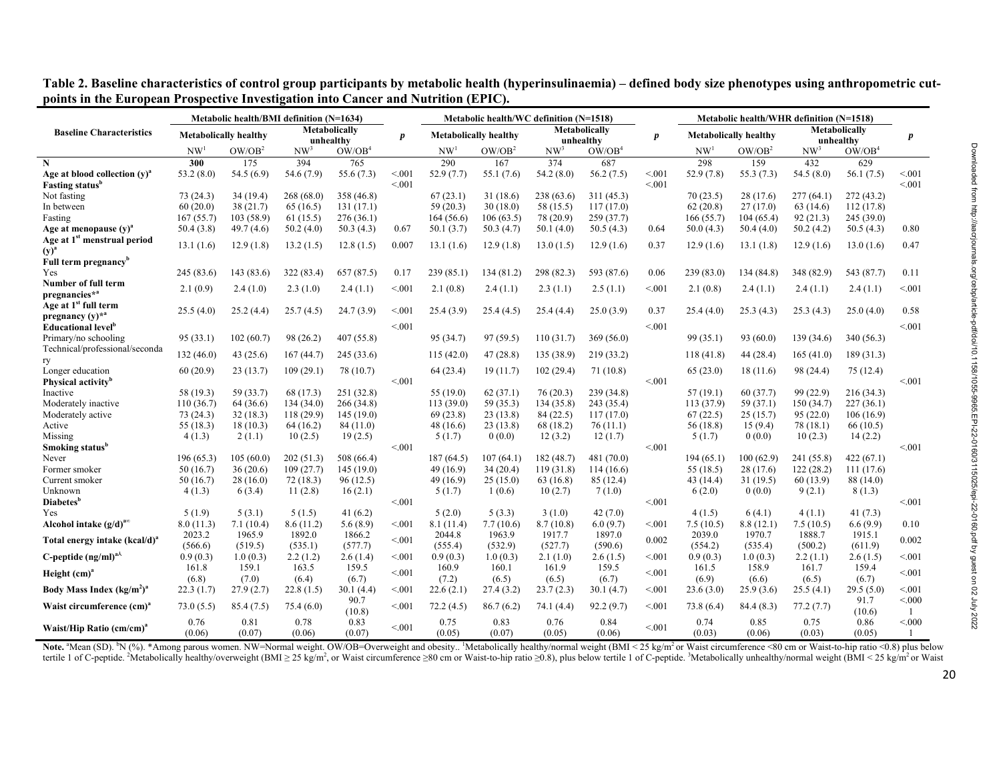|                                           | Metabolic health/BMI definition (N=1634) |                       |                            |                        |                  | Metabolic health/WC definition (N=1518) |                       |                            |                         | Metabolic health/WHR definition (N=1518) |                              |                       |                            |                        |                  |
|-------------------------------------------|------------------------------------------|-----------------------|----------------------------|------------------------|------------------|-----------------------------------------|-----------------------|----------------------------|-------------------------|------------------------------------------|------------------------------|-----------------------|----------------------------|------------------------|------------------|
| <b>Baseline Characteristics</b>           | <b>Metabolically healthy</b>             |                       | Metabolically<br>unhealthy |                        | $\boldsymbol{p}$ | <b>Metabolically healthy</b>            |                       | Metabolically<br>unhealthy |                         | p                                        | <b>Metabolically healthy</b> |                       | Metabolically<br>unhealthy |                        | $\boldsymbol{p}$ |
|                                           | NW <sup>1</sup>                          | OW/OB <sup>2</sup>    | NW <sup>3</sup>            | OW/OB <sup>4</sup>     |                  | NW <sup>1</sup>                         | OW/OB <sup>2</sup>    | $\mathrm{NW}^3$            | OW/OB <sup>4</sup>      |                                          | NW <sup>1</sup>              | OW/OB <sup>2</sup>    | NW <sup>3</sup>            | OW/OB <sup>4</sup>     |                  |
| N                                         | 300                                      | 175                   | 394                        | 765                    |                  | 290                                     | 167                   | 374                        | 687                     |                                          | 298                          | 159                   | 432                        | 629                    |                  |
| Age at blood collection $(y)^a$           | 53.2(8.0)                                | 54.5(6.9)             | 54.6 (7.9)                 | 55.6(7.3)              | < 0.01           | 52.9(7.7)                               | 55.1 (7.6)            | 54.2(8.0)                  | 56.2(7.5)               | < 0.01                                   | 52.9(7.8)                    | 55.3(7.3)             | 54.5(8.0)                  | 56.1(7.5)              | < 001            |
| Fasting status <sup>b</sup>               |                                          |                       |                            |                        | < 0.01           |                                         |                       |                            |                         | < 0.01                                   |                              |                       |                            |                        | < 0.01           |
| Not fasting                               | 73(24.3)                                 | 34(19.4)              | 268(68.0)                  | 358 (46.8)             |                  | 67(23.1)                                | 31(18.6)              | 238 (63.6)                 | 311(45.3)               |                                          | 70(23.5)                     | 28(17.6)              | 277(64.1)                  | 272(43.2)              |                  |
| In between                                | 60(20.0)                                 | 38(21.7)              | 65(16.5)                   | 131(17.1)              |                  | 59(20.3)                                | 30(18.0)              | 58 (15.5)                  | 117(17.0)               |                                          | 62(20.8)                     | 27(17.0)              | 63(14.6)                   | 112(17.8)              |                  |
| Fasting                                   | 167(55.7)                                | 103(58.9)             | 61(15.5)                   | 276(36.1)              |                  | 164(56.6)                               | 106(63.5)             | 78 (20.9)                  | 259 (37.7)              |                                          | 166(55.7)                    | 104(65.4)             | 92(21.3)                   | 245 (39.0)             |                  |
| Age at menopause $(y)^*$                  | 50.4(3.8)                                | 49.7(4.6)             | 50.2(4.0)                  | 50.3(4.3)              | 0.67             | 50.1(3.7)                               | 50.3(4.7)             | 50.1(4.0)                  | 50.5(4.3)               | 0.64                                     | 50.0(4.3)                    | 50.4(4.0)             | 50.2(4.2)                  | 50.5(4.3)              | 0.80             |
| Age at 1 <sup>st</sup> menstrual period   | 13.1(1.6)                                | 12.9(1.8)             | 13.2(1.5)                  | 12.8(1.5)              | 0.007            | 13.1(1.6)                               | 12.9(1.8)             | 13.0(1.5)                  | 12.9(1.6)               | 0.37                                     | 12.9(1.6)                    | 13.1(1.8)             | 12.9(1.6)                  | 13.0(1.6)              | 0.47             |
| $(y)^{a}$                                 |                                          |                       |                            |                        |                  |                                         |                       |                            |                         |                                          |                              |                       |                            |                        |                  |
| Full term pregnancy <sup>b</sup><br>Yes   | 245 (83.6)                               | 143 (83.6)            | 322 (83.4)                 | 657 (87.5)             | 0.17             | 239(85.1)                               | 134 (81.2)            | 298 (82.3)                 | 593 (87.6)              | 0.06                                     | 239 (83.0)                   | 134 (84.8)            | 348 (82.9)                 | 543 (87.7)             | 0.11             |
| Number of full term                       |                                          |                       |                            |                        |                  |                                         |                       |                            |                         |                                          |                              |                       |                            |                        |                  |
| pregnancies* <sup>a</sup>                 | 2.1(0.9)                                 | 2.4(1.0)              | 2.3(1.0)                   | 2.4(1.1)               | < 001            | 2.1(0.8)                                | 2.4(1.1)              | 2.3(1.1)                   | 2.5(1.1)                | < 001                                    | 2.1(0.8)                     | 2.4(1.1)              | 2.4(1.1)                   | 2.4(1.1)               | < 0.01           |
| Age at 1 <sup>st</sup> full term          | 25.5(4.0)                                | 25.2(4.4)             | 25.7(4.5)                  | 24.7(3.9)              | < 0.01           | 25.4(3.9)                               | 25.4(4.5)             | 25.4(4.4)                  | 25.0(3.9)               | 0.37                                     | 25.4(4.0)                    | 25.3(4.3)             | 25.3(4.3)                  | 25.0(4.0)              | 0.58             |
| pregnancy $(v)$ <sup>**</sup>             |                                          |                       |                            |                        |                  |                                         |                       |                            |                         |                                          |                              |                       |                            |                        |                  |
| <b>Educational level</b> <sup>b</sup>     |                                          |                       |                            |                        | < 001            |                                         |                       |                            |                         | < 0.01                                   |                              |                       |                            |                        | < 0.01           |
| Primary/no schooling                      | 95(33.1)                                 | 102(60.7)             | 98(26.2)                   | 407 (55.8)             |                  | 95 (34.7)                               | 97(59.5)              | 110(31.7)                  | 369(56.0)               |                                          | 99(35.1)                     | 93 (60.0)             | 139 (34.6)                 | 340(56.3)              |                  |
| Technical/professional/seconda            | 132(46.0)                                | 43(25.6)              | 167(44.7)                  | 245 (33.6)             |                  | 115(42.0)                               | 47(28.8)              | 135(38.9)                  | 219 (33.2)              |                                          | 118(41.8)                    | 44(28.4)              | 165(41.0)                  | 189 (31.3)             |                  |
| ry                                        |                                          |                       |                            |                        |                  |                                         |                       |                            |                         |                                          |                              |                       |                            |                        |                  |
| Longer education                          | 60(20.9)                                 | 23(13.7)              | 109(29.1)                  | 78 (10.7)              |                  | 64 (23.4)                               | 19(11.7)              | 102(29.4)                  | 71(10.8)                |                                          | 65(23.0)                     | 18(11.6)              | 98 (24.4)                  | 75(12.4)               |                  |
| Physical activity <sup>b</sup>            |                                          |                       |                            |                        | < 0.01           |                                         |                       |                            |                         | < 0.01                                   |                              |                       |                            |                        | < 0.01           |
| Inactive                                  | 58 (19.3)                                | 59 (33.7)<br>64(36.6) | 68 (17.3)                  | 251 (32.8)             |                  | 55 (19.0)                               | 62(37.1)              | 76(20.3)                   | 239 (34.8)              |                                          | 57 (19.1)<br>113 (37.9)      | 60(37.7)              | 99 (22.9)                  | 216 (34.3)             |                  |
| Moderately inactive<br>Moderately active  | 110(36.7)<br>73(24.3)                    | 32(18.3)              | 134(34.0)<br>118 (29.9)    | 266(34.8)<br>145(19.0) |                  | 113(39.0)<br>69(23.8)                   | 59 (35.3)<br>23(13.8) | 134 (35.8)<br>84(22.5)     | 243 (35.4)<br>117(17.0) |                                          | 67(22.5)                     | 59 (37.1)<br>25(15.7) | 150 (34.7)<br>95(22.0)     | 227(36.1)<br>106(16.9) |                  |
| Active                                    | 55 (18.3)                                | 18(10.3)              | 64(16.2)                   | 84(11.0)               |                  | 48 (16.6)                               | 23(13.8)              | 68 (18.2)                  | 76(11.1)                |                                          | 56 (18.8)                    | 15(9.4)               | 78 (18.1)                  | 66(10.5)               |                  |
| Missing                                   | 4(1.3)                                   | 2(1.1)                | 10(2.5)                    | 19(2.5)                |                  | 5(1.7)                                  | 0(0.0)                | 12(3.2)                    | 12(1.7)                 |                                          | 5(1.7)                       | 0(0.0)                | 10(2.3)                    | 14(2.2)                |                  |
| Smoking status <sup>b</sup>               |                                          |                       |                            |                        | < 0.01           |                                         |                       |                            |                         | < 0.01                                   |                              |                       |                            |                        | < 001            |
| Never                                     | 196(65.3)                                | 105(60.0)             | 202(51.3)                  | 508 (66.4)             |                  | 187 (64.5)                              | 107(64.1)             | 182(48.7)                  | 481 (70.0)              |                                          | 194(65.1)                    | 100(62.9)             | 241 (55.8)                 | 422(67.1)              |                  |
| Former smoker                             | 50 (16.7)                                | 36(20.6)              | 109(27.7)                  | 145(19.0)              |                  | 49 (16.9)                               | 34 (20.4)             | 119(31.8)                  | 114(16.6)               |                                          | 55(18.5)                     | 28 (17.6)             | 122(28.2)                  | 111(17.6)              |                  |
| Current smoker                            | 50 (16.7)                                | 28(16.0)              | 72(18.3)                   | 96(12.5)               |                  | 49 (16.9)                               | 25(15.0)              | 63(16.8)                   | 85(12.4)                |                                          | 43 (14.4)                    | 31(19.5)              | 60 (13.9)                  | 88 (14.0)              |                  |
| Unknown                                   | 4(1.3)                                   | 6(3.4)                | 11(2.8)                    | 16(2.1)                |                  | 5(1.7)                                  | 1(0.6)                | 10(2.7)                    | 7(1.0)                  |                                          | 6(2.0)                       | 0(0.0)                | 9(2.1)                     | 8(1.3)                 |                  |
| <b>Diabetes</b> <sup>b</sup>              |                                          |                       |                            |                        | < 0.01           |                                         |                       |                            |                         | < 001                                    |                              |                       |                            |                        | < 0.01           |
| Yes                                       | 5(1.9)                                   | 5(3.1)                | 5(1.5)                     | 41(6.2)                |                  | 5(2.0)                                  | 5(3.3)                | 3(1.0)                     | 42(7.0)                 |                                          | 4(1.5)                       | 6(4.1)                | 4(1.1)                     | 41 $(7.3)$             |                  |
| Alcohol intake $(g/d)^{ac}$               | 8.0(11.3)                                | 7.1(10.4)             | 8.6(11.2)                  | 5.6(8.9)               | < 0.01           | 8.1(11.4)                               | 7.7(10.6)             | 8.7(10.8)                  | 6.0(9.7)                | < 001                                    | 7.5(10.5)                    | 8.8(12.1)             | 7.5(10.5)                  | 6.6(9.9)               | 0.10             |
|                                           | 2023.2                                   | 1965.9                | 1892.0                     | 1866.2                 |                  | 2044.8                                  | 1963.9                | 1917.7                     | 1897.0                  |                                          | 2039.0                       | 1970.7                | 1888.7                     | 1915.1                 |                  |
| Total energy intake (kcal/d) <sup>a</sup> | (566.6)                                  | (519.5)               | (535.1)                    | (577.7)                | < 0.01           | (555.4)                                 | (532.9)               | (527.7)                    | (590.6)                 | 0.002                                    | (554.2)                      | (535.4)               | (500.2)                    | (611.9)                | 0.002            |
| C-peptide $(ng/ml)^{a\lambda}$            | 0.9(0.3)                                 | 1.0(0.3)              | 2.2(1.2)                   | 2.6(1.4)               | < 0.01           | 0.9(0.3)                                | 1.0(0.3)              | 2.1(1.0)                   | 2.6(1.5)                | < 001                                    | 0.9(0.3)                     | 1.0(0.3)              | 2.2(1.1)                   | 2.6(1.5)               | < 001            |
| Height $(cm)^a$                           | 161.8                                    | 159.1                 | 163.5                      | 159.5                  | < 0.01           | 160.9                                   | 160.1                 | 161.9                      | 159.5                   | < 0.01                                   | 161.5                        | 158.9                 | 161.7                      | 159.4                  | < 0.01           |
|                                           | (6.8)                                    | (7.0)                 | (6.4)                      | (6.7)                  |                  | (7.2)                                   | (6.5)                 | (6.5)                      | (6.7)                   |                                          | (6.9)                        | (6.6)                 | (6.5)                      | (6.7)                  |                  |
| Body Mass Index $(kg/m2)a$                | 22.3(1.7)                                | 27.9(2.7)             | 22.8(1.5)                  | 30.1(4.4)              | < 0.01           | 22.6(2.1)                               | 27.4(3.2)             | 23.7(2.3)                  | 30.1(4.7)               | < 001                                    | 23.6(3.0)                    | 25.9(3.6)             | 25.5(4.1)                  | 29.5(5.0)              | < 001            |
| Waist circumference (cm) <sup>a</sup>     | 73.0(5.5)                                | 85.4(7.5)             | 75.4 (6.0)                 | 90.7<br>(10.8)         | < 0.01           | 72.2(4.5)                               | 86.7(6.2)             | 74.1 (4.4)                 | 92.2(9.7)               | < 001                                    | 73.8(6.4)                    | 84.4(8.3)             | 77.2(7.7)                  | 91.7<br>(10.6)         | $<000$<br>-1     |
| Waist/Hip Ratio $(cm/cm)^{a}$             | 0.76                                     | 0.81                  | 0.78                       | 0.83                   | < 0.01           | 0.75                                    | 0.83                  | 0.76                       | 0.84                    | < 0.01                                   | 0.74                         | 0.85                  | 0.75                       | 0.86                   | $<000$           |
|                                           | (0.06)                                   | (0.07)                | (0.06)                     | (0.07)                 |                  | (0.05)                                  | (0.07)                | (0.05)                     | (0.06)                  |                                          | (0.03)                       | (0.06)                | (0.03)                     | (0.05)                 | -1               |

**Table 2. Baseline characteristics of control group participants by metabolic health (hyperinsulinaemia) – defined body size phenotypes using anthropometric cutpoints in the European Prospective Investigation into Cancer and Nutrition (EPIC).** 

Note. <sup>a</sup>Mean (SD).  ${}^{\text{b}}$ N (%). \*Among parous women. NW=Normal weight. OW/OB=Overweight and obesity.. <sup>1</sup>Metabolically healthy/normal weight (BMI < 25 kg/m<sup>2</sup> or Waist circumference <80 cm or Waist-to-hip ratio <0.8) p tertile 1 of C-peptide. <sup>2</sup>Metabolically healthy/overweight (BMI ≥ 25 kg/m<sup>2</sup>, or Waist circumference ≥80 cm or Waist-to-hip ratio ≥0.8), plus below tertile 1 of C-peptide. <sup>3</sup>Metabolically unhealthy/normal weight (BMI <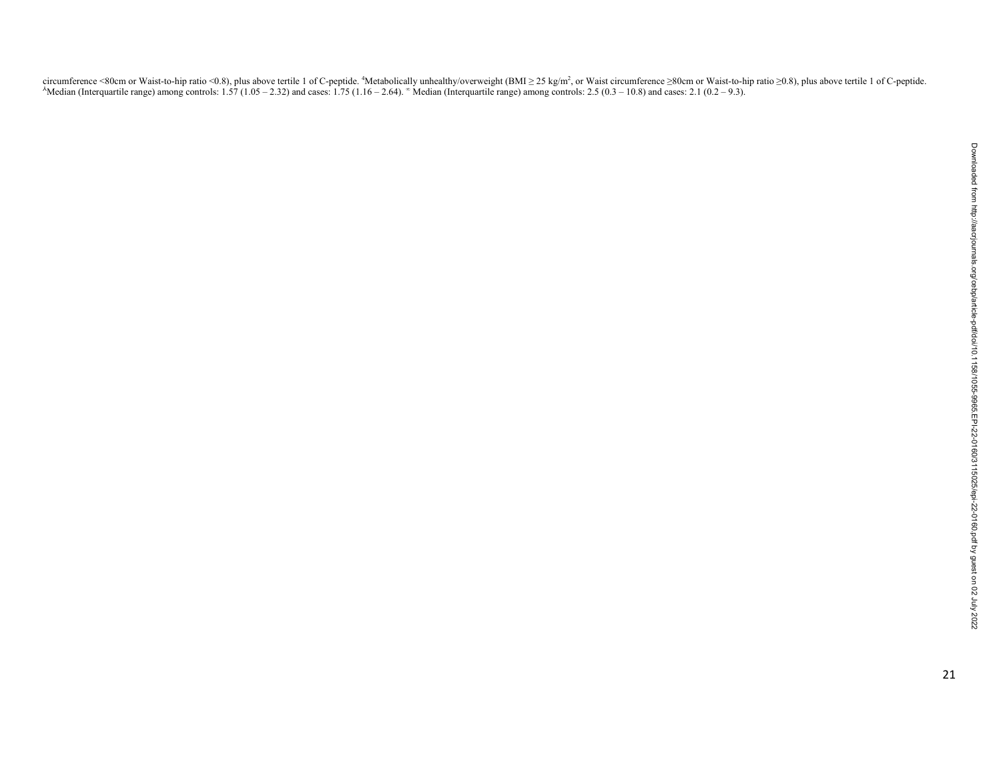circumference <80cm or Waist-to-hip ratio <0.8), plus above tertile 1 of C-peptide. 4Metabolically unhealthy/overweight (BMI ≥ 25 kg/m<sup>2</sup>, or Waist circumference ≥80cm or Waist-to-hip ratio ≥0.8), plus above tertile 1 of  $\lambda$ Median (Interquartile range) among controls: 1.57 (1.05 – 2.32) and cases: 1.75 (1.16 – 2.64). <sup>∞</sup> Median (Interquartile range) among controls: 2.5 (0.3 – 10.8) and cases: 2.1 (0.2 – 9.3).